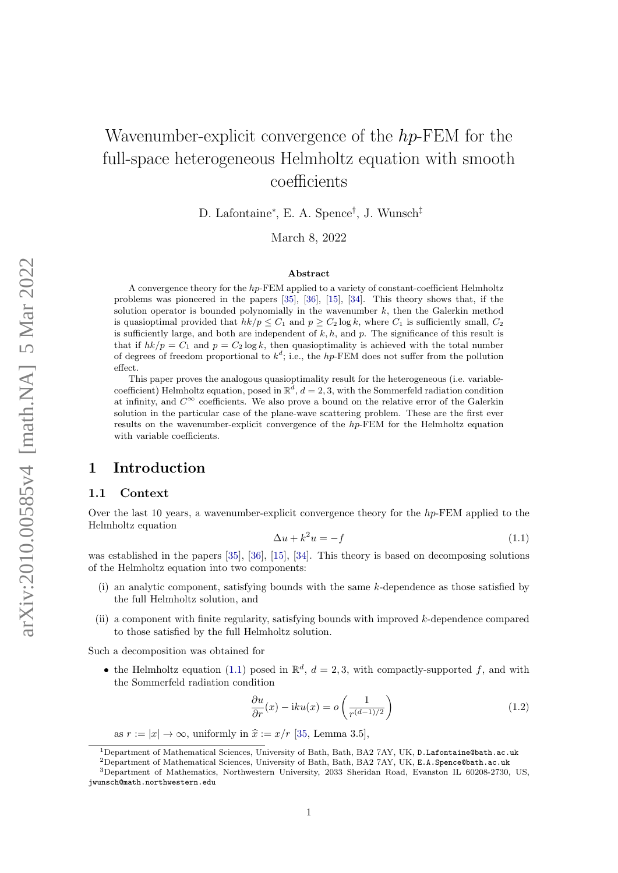# Wavenumber-explicit convergence of the  $hp$ -FEM for the full-space heterogeneous Helmholtz equation with smooth coefficients

D. Lafontaine<sup>∗</sup> , E. A. Spence† , J. Wunsch‡

March 8, 2022

#### Abstract

A convergence theory for the hp-FEM applied to a variety of constant-coefficient Helmholtz problems was pioneered in the papers [\[35\]](#page-20-0), [\[36\]](#page-20-1), [\[15\]](#page-19-0), [\[34\]](#page-20-2). This theory shows that, if the solution operator is bounded polynomially in the wavenumber  $k$ , then the Galerkin method is quasioptimal provided that  $hk/p \leq C_1$  and  $p \geq C_2 \log k$ , where  $C_1$  is sufficiently small,  $C_2$ is sufficiently large, and both are independent of  $k, h$ , and  $p$ . The significance of this result is that if  $hk/p = C_1$  and  $p = C_2 \log k$ , then quasioptimality is achieved with the total number of degrees of freedom proportional to  $k^d$ ; i.e., the hp-FEM does not suffer from the pollution effect.

This paper proves the analogous quasioptimality result for the heterogeneous (i.e. variablecoefficient) Helmholtz equation, posed in  $\mathbb{R}^d$ ,  $d=2,3$ , with the Sommerfeld radiation condition at infinity, and  $C^{\infty}$  coefficients. We also prove a bound on the relative error of the Galerkin solution in the particular case of the plane-wave scattering problem. These are the first ever results on the wavenumber-explicit convergence of the hp-FEM for the Helmholtz equation with variable coefficients.

### 1 Introduction

#### 1.1 Context

Over the last 10 years, a wavenumber-explicit convergence theory for the  $hp$ -FEM applied to the Helmholtz equation

<span id="page-0-0"></span>
$$
\Delta u + k^2 u = -f \tag{1.1}
$$

was established in the papers [\[35\]](#page-20-0), [\[36\]](#page-20-1), [\[15\]](#page-19-0), [\[34\]](#page-20-2). This theory is based on decomposing solutions of the Helmholtz equation into two components:

- (i) an analytic component, satisfying bounds with the same k-dependence as those satisfied by the full Helmholtz solution, and
- (ii) a component with finite regularity, satisfying bounds with improved k-dependence compared to those satisfied by the full Helmholtz solution.

Such a decomposition was obtained for

• the Helmholtz equation [\(1.1\)](#page-0-0) posed in  $\mathbb{R}^d$ ,  $d = 2, 3$ , with compactly-supported f, and with the Sommerfeld radiation condition

<span id="page-0-1"></span>
$$
\frac{\partial u}{\partial r}(x) - iku(x) = o\left(\frac{1}{r^{(d-1)/2}}\right)
$$
\n(1.2)

as  $r := |x| \to \infty$ , uniformly in  $\hat{x} := x/r$  [\[35,](#page-20-0) Lemma 3.5],

<sup>1</sup>Department of Mathematical Sciences, University of Bath, Bath, BA2 7AY, UK, D.Lafontaine@bath.ac.uk

<sup>2</sup>Department of Mathematical Sciences, University of Bath, Bath, BA2 7AY, UK, E.A.Spence@bath.ac.uk

<sup>3</sup>Department of Mathematics, Northwestern University, 2033 Sheridan Road, Evanston IL 60208-2730, US, jwunsch@math.northwestern.edu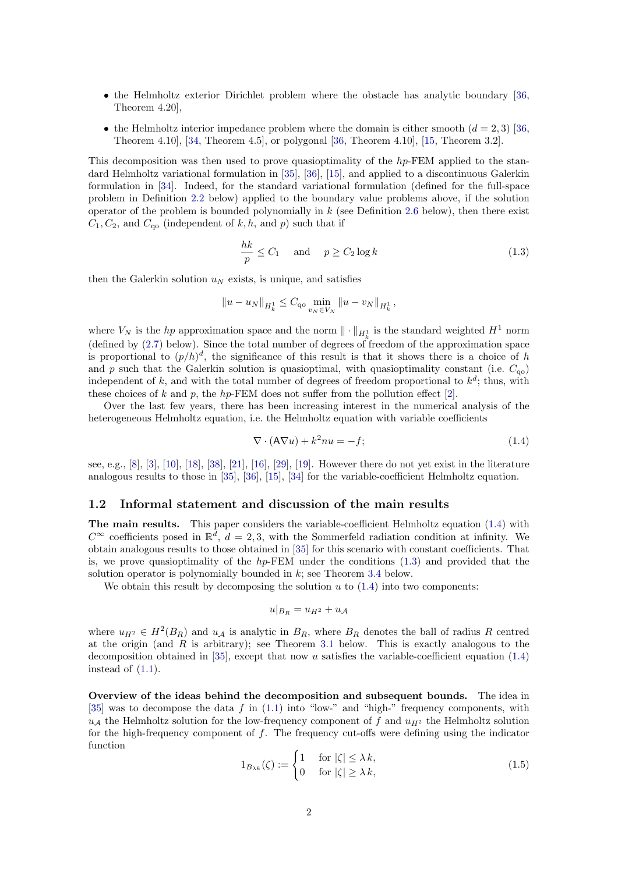- the Helmholtz exterior Dirichlet problem where the obstacle has analytic boundary [\[36,](#page-20-1) Theorem 4.20],
- the Helmholtz interior impedance problem where the domain is either smooth  $(d = 2, 3)$  [\[36,](#page-20-1) Theorem 4.10], [\[34,](#page-20-2) Theorem 4.5], or polygonal [\[36,](#page-20-1) Theorem 4.10], [\[15,](#page-19-0) Theorem 3.2].

This decomposition was then used to prove quasioptimality of the hp-FEM applied to the standard Helmholtz variational formulation in [\[35\]](#page-20-0), [\[36\]](#page-20-1), [\[15\]](#page-19-0), and applied to a discontinuous Galerkin formulation in [\[34\]](#page-20-2). Indeed, for the standard variational formulation (defined for the full-space problem in Definition [2.2](#page-4-0) below) applied to the boundary value problems above, if the solution operator of the problem is bounded polynomially in  $k$  (see Definition [2.6](#page-6-0) below), then there exist  $C_1, C_2$ , and  $C_{\text{qo}}$  (independent of k, h, and p) such that if

<span id="page-1-1"></span>
$$
\frac{hk}{p} \le C_1 \quad \text{and} \quad p \ge C_2 \log k \tag{1.3}
$$

then the Galerkin solution  $u_N$  exists, is unique, and satisfies

$$
||u - u_N||_{H^1_k} \leq C_{\mathbf{q}_0} \min_{v_N \in V_N} ||u - v_N||_{H^1_k},
$$

where  $V_N$  is the *hp* approximation space and the norm  $\|\cdot\|_{H^1_k}$  is the standard weighted  $H^1$  norm (defined by [\(2.7\)](#page-5-0) below). Since the total number of degrees of freedom of the approximation space is proportional to  $(p/h)^d$ , the significance of this result is that it shows there is a choice of h and p such that the Galerkin solution is quasioptimal, with quasioptimality constant (i.e.  $C_{00}$ ) independent of k, and with the total number of degrees of freedom proportional to  $k^d$ ; thus, with these choices of k and p, the hp-FEM does not suffer from the pollution effect [\[2\]](#page-19-1).

Over the last few years, there has been increasing interest in the numerical analysis of the heterogeneous Helmholtz equation, i.e. the Helmholtz equation with variable coefficients

<span id="page-1-0"></span>
$$
\nabla \cdot (\mathbf{A} \nabla u) + k^2 n u = -f; \tag{1.4}
$$

see, e.g., [\[8\]](#page-19-2), [\[3\]](#page-19-3), [\[10\]](#page-19-4), [\[18\]](#page-19-5), [\[38\]](#page-20-3), [\[21\]](#page-19-6), [\[16\]](#page-19-7), [\[29\]](#page-20-4), [\[19\]](#page-19-8). However there do not yet exist in the literature analogous results to those in [\[35\]](#page-20-0), [\[36\]](#page-20-1), [\[15\]](#page-19-0), [\[34\]](#page-20-2) for the variable-coefficient Helmholtz equation.

#### <span id="page-1-3"></span>1.2 Informal statement and discussion of the main results

The main results. This paper considers the variable-coefficient Helmholtz equation [\(1.4\)](#page-1-0) with  $C^{\infty}$  coefficients posed in  $\mathbb{R}^d$ ,  $d=2,3$ , with the Sommerfeld radiation condition at infinity. We obtain analogous results to those obtained in [\[35\]](#page-20-0) for this scenario with constant coefficients. That is, we prove quasioptimality of the  $hp$ -FEM under the conditions  $(1.3)$  and provided that the solution operator is polynomially bounded in  $k$ ; see Theorem [3.4](#page-7-0) below.

We obtain this result by decomposing the solution  $u$  to  $(1.4)$  into two components:

$$
u|_{B_R} = u_{H^2} + u_{\mathcal{A}}
$$

where  $u_{H^2} \in H^2(B_R)$  and  $u_{\mathcal{A}}$  is analytic in  $B_R$ , where  $B_R$  denotes the ball of radius R centred at the origin (and  $R$  is arbitrary); see Theorem [3.1](#page-6-1) below. This is exactly analogous to the decomposition obtained in [\[35\]](#page-20-0), except that now u satisfies the variable-coefficient equation  $(1.4)$ instead of  $(1.1)$ .

Overview of the ideas behind the decomposition and subsequent bounds. The idea in [\[35\]](#page-20-0) was to decompose the data  $f$  in [\(1.1\)](#page-0-0) into "low-" and "high-" frequency components, with  $u_A$  the Helmholtz solution for the low-frequency component of f and  $u_H$ <sup>2</sup> the Helmholtz solution for the high-frequency component of  $f$ . The frequency cut-offs were defining using the indicator function

<span id="page-1-2"></span>
$$
1_{B_{\lambda k}}(\zeta) := \begin{cases} 1 & \text{for } |\zeta| \le \lambda \, k, \\ 0 & \text{for } |\zeta| \ge \lambda \, k, \end{cases} \tag{1.5}
$$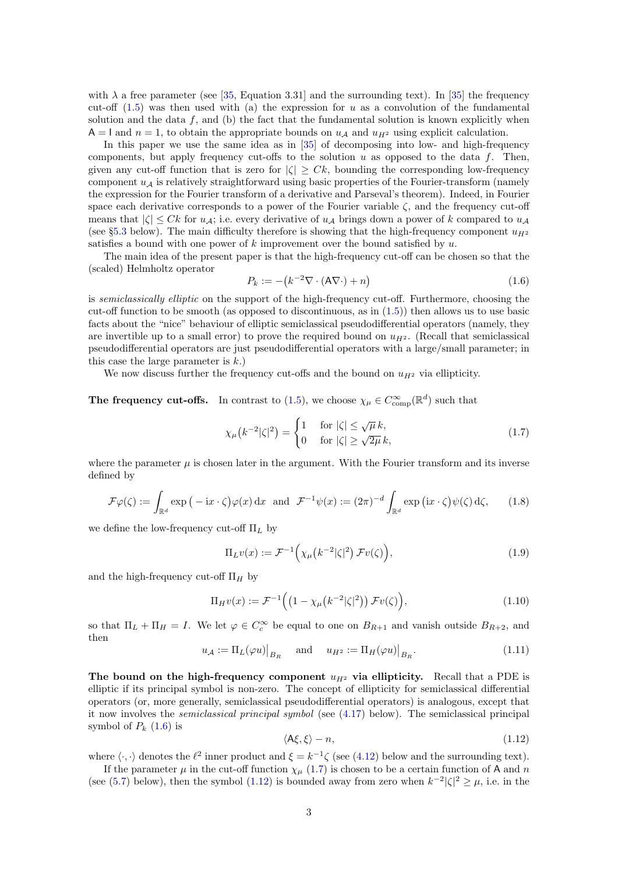with  $\lambda$  a free parameter (see [\[35,](#page-20-0) Equation 3.31] and the surrounding text). In [\[35\]](#page-20-0) the frequency cut-off  $(1.5)$  was then used with (a) the expression for u as a convolution of the fundamental solution and the data  $f$ , and (b) the fact that the fundamental solution is known explicitly when  $A = I$  and  $n = 1$ , to obtain the appropriate bounds on  $u_A$  and  $u_{H^2}$  using explicit calculation.

In this paper we use the same idea as in [\[35\]](#page-20-0) of decomposing into low- and high-frequency components, but apply frequency cut-offs to the solution u as opposed to the data f. Then, given any cut-off function that is zero for  $|\zeta| \geq Ck$ , bounding the corresponding low-frequency component  $u_A$  is relatively straightforward using basic properties of the Fourier-transform (namely the expression for the Fourier transform of a derivative and Parseval's theorem). Indeed, in Fourier space each derivative corresponds to a power of the Fourier variable  $\zeta$ , and the frequency cut-off means that  $|\zeta| \leq Ck$  for  $u_{\mathcal{A}}$ ; i.e. every derivative of  $u_{\mathcal{A}}$  brings down a power of k compared to  $u_{\mathcal{A}}$ (see §[5.3](#page-14-0) below). The main difficulty therefore is showing that the high-frequency component  $u_{H^2}$ satisfies a bound with one power of  $k$  improvement over the bound satisfied by  $u$ .

The main idea of the present paper is that the high-frequency cut-off can be chosen so that the (scaled) Helmholtz operator

<span id="page-2-0"></span>
$$
P_k := -(k^{-2}\nabla \cdot (\mathbf{A}\nabla \cdot) + n)
$$
\n(1.6)

is *semiclassically elliptic* on the support of the high-frequency cut-off. Furthermore, choosing the cut-off function to be smooth (as opposed to discontinuous, as in  $(1.5)$ ) then allows us to use basic facts about the "nice" behaviour of elliptic semiclassical pseudodifferential operators (namely, they are invertible up to a small error) to prove the required bound on  $u_{H^2}$ . (Recall that semiclassical pseudodifferential operators are just pseudodifferential operators with a large/small parameter; in this case the large parameter is  $k$ .)

We now discuss further the frequency cut-offs and the bound on  $u_{H2}$  via ellipticity.

**The frequency cut-offs.** In contrast to [\(1.5\)](#page-1-2), we choose  $\chi_{\mu} \in C_{\text{comp}}^{\infty}(\mathbb{R}^d)$  such that

<span id="page-2-1"></span>
$$
\chi_{\mu}\left(k^{-2}|\zeta|^2\right) = \begin{cases} 1 & \text{for } |\zeta| \le \sqrt{\mu}\,k, \\ 0 & \text{for } |\zeta| \ge \sqrt{2\mu}\,k, \end{cases} \tag{1.7}
$$

where the parameter  $\mu$  is chosen later in the argument. With the Fourier transform and its inverse defined by

$$
\mathcal{F}\varphi(\zeta) := \int_{\mathbb{R}^d} \exp\left(-\mathbf{i}x \cdot \zeta\right) \varphi(x) \, \mathrm{d}x \quad \text{and} \quad \mathcal{F}^{-1}\psi(x) := (2\pi)^{-d} \int_{\mathbb{R}^d} \exp\left(\mathbf{i}x \cdot \zeta\right) \psi(\zeta) \, \mathrm{d}\zeta,\tag{1.8}
$$

we define the low-frequency cut-off  $\Pi_L$  by

<span id="page-2-3"></span>
$$
\Pi_L v(x) := \mathcal{F}^{-1}\Big(\chi_\mu\big(k^{-2}|\zeta|^2\big)\,\mathcal{F}v(\zeta)\Big),\tag{1.9}
$$

and the high-frequency cut-off  $\Pi_H$  by

<span id="page-2-4"></span>
$$
\Pi_H v(x) := \mathcal{F}^{-1}\Big(\big(1 - \chi_\mu\big(k^{-2}|\zeta|^2\big)\big)\,\mathcal{F}v(\zeta)\Big),\tag{1.10}
$$

so that  $\Pi_L + \Pi_H = I$ . We let  $\varphi \in C_c^{\infty}$  be equal to one on  $B_{R+1}$  and vanish outside  $B_{R+2}$ , and then

$$
u_{\mathcal{A}} := \Pi_L(\varphi u)\big|_{B_R} \quad \text{and} \quad u_{H^2} := \Pi_H(\varphi u)\big|_{B_R}.\tag{1.11}
$$

The bound on the high-frequency component  $u_{H^2}$  via ellipticity. Recall that a PDE is elliptic if its principal symbol is non-zero. The concept of ellipticity for semiclassical differential operators (or, more generally, semiclassical pseudodifferential operators) is analogous, except that it now involves the semiclassical principal symbol (see [\(4.17\)](#page-12-0) below). The semiclassical principal symbol of  $P_k$  [\(1.6\)](#page-2-0) is

<span id="page-2-2"></span>
$$
\langle A\xi, \xi \rangle - n,\tag{1.12}
$$

where  $\langle \cdot, \cdot \rangle$  denotes the  $\ell^2$  inner product and  $\xi = k^{-1}\zeta$  (see [\(4.12\)](#page-11-0) below and the surrounding text).

If the parameter  $\mu$  in the cut-off function  $\chi_{\mu}$  [\(1.7\)](#page-2-1) is chosen to be a certain function of A and n (see [\(5.7\)](#page-13-0) below), then the symbol [\(1.12\)](#page-2-2) is bounded away from zero when  $k^{-2}|\zeta|^2 \geq \mu$ , i.e. in the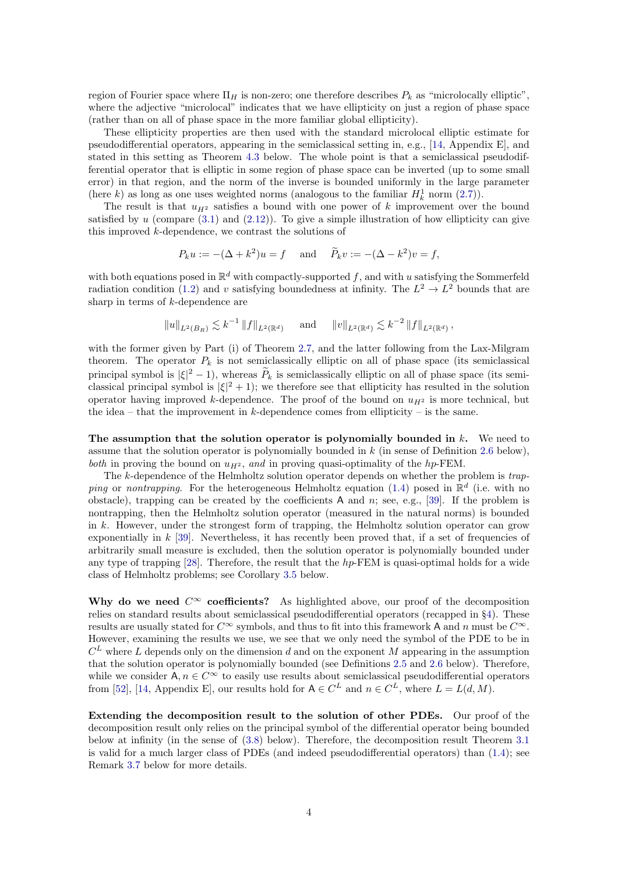region of Fourier space where  $\Pi_H$  is non-zero; one therefore describes  $P_k$  as "microlocally elliptic", where the adjective "microlocal" indicates that we have ellipticity on just a region of phase space (rather than on all of phase space in the more familiar global ellipticity).

These ellipticity properties are then used with the standard microlocal elliptic estimate for pseudodifferential operators, appearing in the semiclassical setting in, e.g., [\[14,](#page-19-9) Appendix E], and stated in this setting as Theorem [4.3](#page-12-1) below. The whole point is that a semiclassical pseudodifferential operator that is elliptic in some region of phase space can be inverted (up to some small error) in that region, and the norm of the inverse is bounded uniformly in the large parameter (here k) as long as one uses weighted norms (analogous to the familiar  $H_k^1$  norm  $(2.7)$ ).

The result is that  $u_{H^2}$  satisfies a bound with one power of k improvement over the bound satisfied by  $u$  (compare  $(3.1)$  and  $(2.12)$ ). To give a simple illustration of how ellipticity can give this improved  $k$ -dependence, we contrast the solutions of

$$
P_k u := -(\Delta + k^2)u = f
$$
 and  $\tilde{P}_k v := -(\Delta - k^2)v = f$ ,

with both equations posed in  $\mathbb{R}^d$  with compactly-supported f, and with u satisfying the Sommerfeld radiation condition [\(1.2\)](#page-0-1) and v satisfying boundedness at infinity. The  $L^2 \to L^2$  bounds that are sharp in terms of k-dependence are

$$
||u||_{L^{2}(B_R)} \lesssim k^{-1} ||f||_{L^{2}(\mathbb{R}^d)}
$$
 and  $||v||_{L^{2}(\mathbb{R}^d)} \lesssim k^{-2} ||f||_{L^{2}(\mathbb{R}^d)},$ 

with the former given by Part (i) of Theorem [2.7,](#page-6-2) and the latter following from the Lax-Milgram theorem. The operator  $P_k$  is not semiclassically elliptic on all of phase space (its semiclassical principal symbol is  $|\xi|^2 - 1$ ), whereas  $\tilde{P}_k$  is semiclassically elliptic on all of phase space (its semiclassical principal symbol is  $|\xi|^2 + 1$ ; we therefore see that ellipticity has resulted in the solution operator having improved k-dependence. The proof of the bound on  $u_{H^2}$  is more technical, but the idea – that the improvement in  $k$ -dependence comes from ellipticity – is the same.

The assumption that the solution operator is polynomially bounded in  $k$ . We need to assume that the solution operator is polynomially bounded in  $k$  (in sense of Definition [2.6](#page-6-0) below), both in proving the bound on  $u_{H^2}$ , and in proving quasi-optimality of the hp-FEM.

The k-dependence of the Helmholtz solution operator depends on whether the problem is trap-ping or nontrapping. For the heterogeneous Helmholtz equation [\(1.4\)](#page-1-0) posed in  $\mathbb{R}^d$  (i.e. with no obstacle), trapping can be created by the coefficients A and n; see, e.g., [\[39\]](#page-20-5). If the problem is nontrapping, then the Helmholtz solution operator (measured in the natural norms) is bounded in  $k$ . However, under the strongest form of trapping, the Helmholtz solution operator can grow exponentially in  $k$  [\[39\]](#page-20-5). Nevertheless, it has recently been proved that, if a set of frequencies of arbitrarily small measure is excluded, then the solution operator is polynomially bounded under any type of trapping  $[28]$ . Therefore, the result that the h<sub>p</sub>-FEM is quasi-optimal holds for a wide class of Helmholtz problems; see Corollary [3.5](#page-7-2) below.

Why do we need  $C^{\infty}$  coefficients? As highlighted above, our proof of the decomposition relies on standard results about semiclassical pseudodifferential operators (recapped in §[4\)](#page-9-0). These results are usually stated for  $C^{\infty}$  symbols, and thus to fit into this framework A and n must be  $C^{\infty}$ . However, examining the results we use, we see that we only need the symbol of the PDE to be in  $C<sup>L</sup>$  where L depends only on the dimension d and on the exponent M appearing in the assumption that the solution operator is polynomially bounded (see Definitions [2.5](#page-5-2) and [2.6](#page-6-0) below). Therefore, while we consider  $A, n \in C^{\infty}$  to easily use results about semiclassical pseudodifferential operators from [\[52\]](#page-20-7), [\[14,](#page-19-9) Appendix E], our results hold for  $A \in C^L$  and  $n \in C^L$ , where  $L = L(d, M)$ .

Extending the decomposition result to the solution of other PDEs. Our proof of the decomposition result only relies on the principal symbol of the differential operator being bounded below at infinity (in the sense of [\(3.8\)](#page-8-0) below). Therefore, the decomposition result Theorem [3.1](#page-6-1) is valid for a much larger class of PDEs (and indeed pseudodifferential operators) than [\(1.4\)](#page-1-0); see Remark [3.7](#page-8-1) below for more details.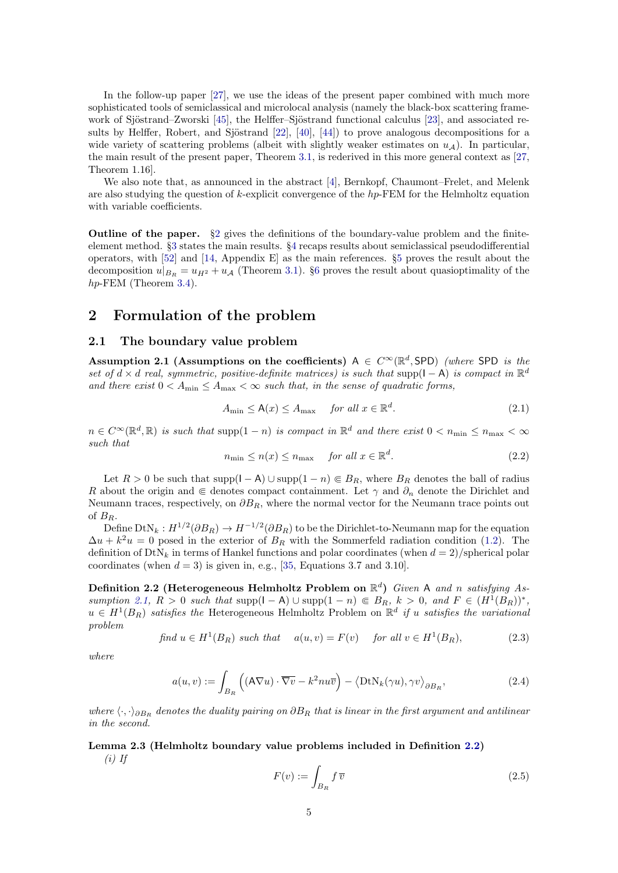In the follow-up paper [\[27\]](#page-20-8), we use the ideas of the present paper combined with much more sophisticated tools of semiclassical and microlocal analysis (namely the black-box scattering frame-work of Sjöstrand–Zworski [\[45\]](#page-20-9), the Helffer–Sjöstrand functional calculus [\[23\]](#page-20-10), and associated results by Helffer, Robert, and Sjöstrand  $[22]$ ,  $[40]$ ,  $[44]$ ) to prove analogous decompositions for a wide variety of scattering problems (albeit with slightly weaker estimates on  $u_A$ ). In particular, the main result of the present paper, Theorem [3.1,](#page-6-1) is rederived in this more general context as [\[27,](#page-20-8) Theorem 1.16].

We also note that, as announced in the abstract [\[4\]](#page-19-11), Bernkopf, Chaumont–Frelet, and Melenk are also studying the question of k-explicit convergence of the  $hp$ -FEM for the Helmholtz equation with variable coefficients.

Outline of the paper. §[2](#page-4-1) gives the definitions of the boundary-value problem and the finiteelement method. §[3](#page-6-3) states the main results. §[4](#page-9-0) recaps results about semiclassical pseudodifferential operators, with [\[52\]](#page-20-7) and [\[14,](#page-19-9) Appendix E] as the main references. §[5](#page-12-2) proves the result about the decomposition  $u|_{B_R} = u_{H^2} + u_{\mathcal{A}}$  (Theorem [3.1\)](#page-6-1). §[6](#page-16-0) proves the result about quasioptimality of the hp-FEM (Theorem [3.4\)](#page-7-0).

### <span id="page-4-1"></span>2 Formulation of the problem

#### 2.1 The boundary value problem

<span id="page-4-2"></span>Assumption 2.1 (Assumptions on the coefficients)  $A \in C^{\infty}(\mathbb{R}^d,$  SPD) (where SPD is the set of  $d \times d$  real, symmetric, positive-definite matrices) is such that supp( $I - A$ ) is compact in  $\mathbb{R}^d$ and there exist  $0 < A_{\text{min}} \leq A_{\text{max}} < \infty$  such that, in the sense of quadratic forms,

$$
A_{\min} \le \mathsf{A}(x) \le A_{\max} \quad \text{for all } x \in \mathbb{R}^d. \tag{2.1}
$$

 $n \in C^{\infty}(\mathbb{R}^d, \mathbb{R})$  is such that supp $(1 - n)$  is compact in  $\mathbb{R}^d$  and there exist  $0 < n_{\min} \leq n_{\max} < \infty$ such that

$$
n_{\min} \le n(x) \le n_{\max} \quad \text{for all } x \in \mathbb{R}^d. \tag{2.2}
$$

Let  $R > 0$  be such that supp( $I - A$ )  $\cup$  supp $(1 - n) \in B_R$ , where  $B_R$  denotes the ball of radius R about the origin and  $\in$  denotes compact containment. Let  $\gamma$  and  $\partial_n$  denote the Dirichlet and Neumann traces, respectively, on  $\partial B_R$ , where the normal vector for the Neumann trace points out of  $B_R$ .

Define  $DtN_k: H^{1/2}(\partial B_R) \to H^{-1/2}(\partial B_R)$  to be the Dirichlet-to-Neumann map for the equation  $\Delta u + k^2 u = 0$  posed in the exterior of  $B_R$  with the Sommerfeld radiation condition [\(1.2\)](#page-0-1). The definition of  $DtN_k$  in terms of Hankel functions and polar coordinates (when  $d=2$ )/spherical polar coordinates (when  $d = 3$ ) is given in, e.g., [\[35,](#page-20-0) Equations 3.7 and 3.10].

<span id="page-4-0"></span>Definition 2.2 (Heterogeneous Helmholtz Problem on  $\mathbb{R}^d$ ) Given A and n satisfying As-sumption [2.1,](#page-4-2)  $R > 0$  such that supp $(1 - A) \cup \text{supp}(1 - n) \in B_R$ ,  $k > 0$ , and  $F \in (H^1(B_R))^*$ ,  $u \in H^1(B_R)$  satisfies the Heterogeneous Helmholtz Problem on  $\mathbb{R}^d$  if u satisfies the variational problem

<span id="page-4-3"></span>
$$
find \ u \in H^{1}(B_{R}) \ such \ that \quad a(u,v) = F(v) \quad \text{for all } v \in H^{1}(B_{R}), \tag{2.3}
$$

where

$$
a(u,v) := \int_{B_R} \left( (\mathbf{A} \nabla u) \cdot \overline{\nabla v} - k^2 n u \overline{v} \right) - \left\langle \mathrm{DtN}_k(\gamma u), \gamma v \right\rangle_{\partial B_R},\tag{2.4}
$$

where  $\langle \cdot, \cdot \rangle_{\partial B_R}$  denotes the duality pairing on  $\partial B_R$  that is linear in the first argument and antilinear in the second.

#### <span id="page-4-4"></span>Lemma 2.3 (Helmholtz boundary value problems included in Definition [2.2\)](#page-4-0)  $(i)$  If

<span id="page-4-6"></span><span id="page-4-5"></span>
$$
F(v) := \int_{B_R} f \, \overline{v} \tag{2.5}
$$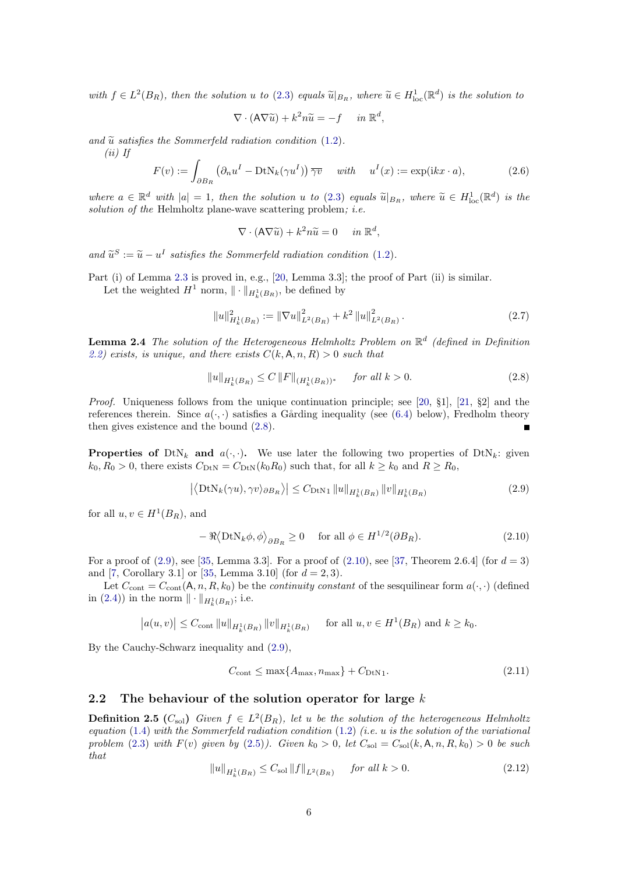with  $f \in L^2(B_R)$ , then the solution u to [\(2.3\)](#page-4-3) equals  $\widetilde{u}|_{B_R}$ , where  $\widetilde{u} \in H^1_{loc}(\mathbb{R}^d)$  is the solution to

$$
\nabla \cdot (\mathsf{A} \nabla \widetilde{u}) + k^2 n \widetilde{u} = -f \quad in \ \mathbb{R}^d,
$$

and  $\tilde{u}$  satisfies the Sommerfeld radiation condition [\(1.2\)](#page-0-1).

(ii) If

<span id="page-5-7"></span>
$$
F(v) := \int_{\partial B_R} \left( \partial_n u^I - \text{DtN}_k(\gamma u^I) \right) \overline{\gamma v} \quad \text{with} \quad u^I(x) := \exp(ikx \cdot a), \tag{2.6}
$$

where  $a \in \mathbb{R}^d$  with  $|a| = 1$ , then the solution u to [\(2.3\)](#page-4-3) equals  $\tilde{u}|_{B_R}$ , where  $\tilde{u} \in H^1_{loc}(\mathbb{R}^d)$  is the solution of the Holmholtz plane wave solutions replaced i.e. solution of the Helmholtz plane-wave scattering problem; *i.e.* 

$$
\nabla \cdot (\mathsf{A} \nabla \widetilde{u}) + k^2 n \widetilde{u} = 0 \quad in \ \mathbb{R}^d,
$$

and  $\widetilde{u}^S := \widetilde{u} - u^I$  satisfies the Sommerfeld radiation condition [\(1.2\)](#page-0-1).

Part (i) of Lemma [2.3](#page-4-4) is proved in, e.g., [\[20,](#page-19-12) Lemma 3.3]; the proof of Part (ii) is similar.

Let the weighted  $H^1$  norm,  $\|\cdot\|_{H^1_k(B_R)}$ , be defined by

<span id="page-5-0"></span>
$$
||u||_{H_k^1(B_R)}^2 := ||\nabla u||_{L^2(B_R)}^2 + k^2 ||u||_{L^2(B_R)}^2.
$$
\n(2.7)

<span id="page-5-6"></span>**Lemma 2.4** The solution of the Heterogeneous Helmholtz Problem on  $\mathbb{R}^d$  (defined in Definition [2.2\)](#page-4-0) exists, is unique, and there exists  $C(k, A, n, R) > 0$  such that

<span id="page-5-3"></span>
$$
||u||_{H_k^1(B_R)} \le C ||F||_{(H_k^1(B_R))^*} \quad \text{for all } k > 0.
$$
 (2.8)

*Proof.* Uniqueness follows from the unique continuation principle; see [\[20,](#page-19-12)  $\S$ 1], [\[21,](#page-19-6)  $\S$ 2] and the references therein. Since  $a(\cdot, \cdot)$  satisfies a Gårding inequality (see [\(6.4\)](#page-17-0) below), Fredholm theory then gives existence and the bound [\(2.8\)](#page-5-3).

**Properties of**  $DtN_k$  and  $a(\cdot, \cdot)$ . We use later the following two properties of  $DtN_k$ : given  $k_0, R_0 > 0$ , there exists  $C_{\text{DtN}} = C_{\text{DtN}}(k_0 R_0)$  such that, for all  $k \geq k_0$  and  $R \geq R_0$ ,

<span id="page-5-4"></span>
$$
\left| \left\langle \mathrm{DtN}_k(\gamma u), \gamma v \right\rangle_{\partial B_R} \right\rangle \right| \leq C_{\mathrm{DtN1}} \left\| u \right\|_{H^1_k(B_R)} \|v\|_{H^1_k(B_R)} \tag{2.9}
$$

for all  $u, v \in H^1(B_R)$ , and

<span id="page-5-5"></span>
$$
-\Re\langle \text{DtN}_k \phi, \phi \rangle_{\partial B_R} \ge 0 \quad \text{ for all } \phi \in H^{1/2}(\partial B_R). \tag{2.10}
$$

For a proof of  $(2.9)$ , see [\[35,](#page-20-0) Lemma 3.3]. For a proof of  $(2.10)$ , see [\[37,](#page-20-13) Theorem 2.6.4] (for  $d = 3$ ) and [\[7,](#page-19-13) Corollary 3.1] or [\[35,](#page-20-0) Lemma 3.10] (for  $d = 2, 3$ ).

Let  $C_{\text{cont}} = C_{\text{cont}}(\mathsf{A}, n, R, k_0)$  be the *continuity constant* of the sesquilinear form  $a(\cdot, \cdot)$  (defined in [\(2.4\)](#page-4-5)) in the norm  $\|\cdot\|_{H^1_k(B_R)}$ ; i.e.

$$
|a(u, v)| \leq C_{\text{cont}} \|u\|_{H^1_k(B_R)} \|v\|_{H^1_k(B_R)}
$$
 for all  $u, v \in H^1(B_R)$  and  $k \geq k_0$ .

By the Cauchy-Schwarz inequality and [\(2.9\)](#page-5-4),

$$
C_{\text{cont}} \le \max\{A_{\text{max}}, n_{\text{max}}\} + C_{\text{DtN1}}.\tag{2.11}
$$

#### 2.2 The behaviour of the solution operator for large  $k$

<span id="page-5-2"></span>**Definition 2.5** ( $C_{\text{sol}}$ ) Given  $f \in L^2(B_R)$ , let u be the solution of the heterogeneous Helmholtz equation [\(1.4\)](#page-1-0) with the Sommerfeld radiation condition [\(1.2\)](#page-0-1) (i.e.  $u$  is the solution of the variational problem [\(2.3\)](#page-4-3) with  $F(v)$  given by [\(2.5\)](#page-4-6)). Given  $k_0 > 0$ , let  $C_{sol} = C_{sol}(k, A, n, R, k_0) > 0$  be such that

<span id="page-5-1"></span>
$$
||u||_{H_k^1(B_R)} \le C_{\text{sol}} ||f||_{L^2(B_R)} \quad \text{for all } k > 0.
$$
 (2.12)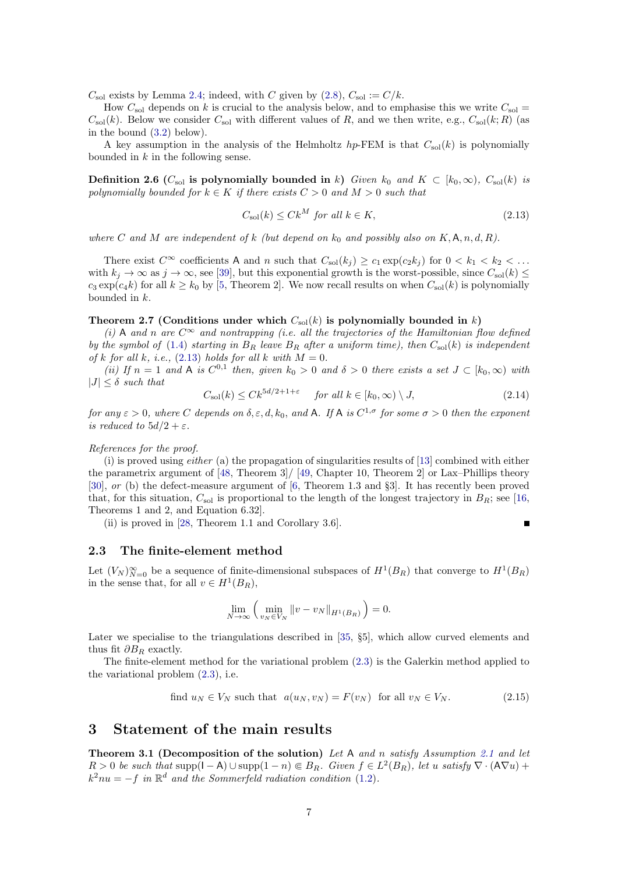$C_{\text{sol}}$  exists by Lemma [2.4;](#page-5-6) indeed, with C given by [\(2.8\)](#page-5-3),  $C_{\text{sol}} := C/k$ .

How  $C_{\rm sol}$  depends on k is crucial to the analysis below, and to emphasise this we write  $C_{\rm sol}$  =  $C_{\rm sol}(k)$ . Below we consider  $C_{\rm sol}$  with different values of R, and we then write, e.g.,  $C_{\rm sol}(k;R)$  (as in the bound [\(3.2\)](#page-7-3) below).

A key assumption in the analysis of the Helmholtz  $hp$ -FEM is that  $C_{sol}(k)$  is polynomially bounded in  $k$  in the following sense.

<span id="page-6-0"></span>**Definition 2.6** (C<sub>sol</sub> is polynomially bounded in k) Given  $k_0$  and  $K \subset [k_0,\infty)$ ,  $C_{sol}(k)$  is polynomially bounded for  $k \in K$  if there exists  $C > 0$  and  $M > 0$  such that

<span id="page-6-4"></span>
$$
C_{\rm sol}(k) \le C k^M \text{ for all } k \in K,
$$
\n
$$
(2.13)
$$

where C and M are independent of k (but depend on  $k_0$  and possibly also on  $K, A, n, d, R$ ).

There exist  $C^{\infty}$  coefficients A and n such that  $C_{\text{sol}}(k_i) \geq c_1 \exp(c_2 k_i)$  for  $0 < k_1 < k_2 < \ldots$ with  $k_i \to \infty$  as  $j \to \infty$ , see [\[39\]](#page-20-5), but this exponential growth is the worst-possible, since  $C_{sol}(k) \leq$  $c_3 \exp(c_4 k)$  for all  $k \geq k_0$  by [\[5,](#page-19-14) Theorem 2]. We now recall results on when  $C_{\text{sol}}(k)$  is polynomially bounded in k.

#### <span id="page-6-2"></span>Theorem 2.7 (Conditions under which  $C_{sol}(k)$  is polynomially bounded in k)

(i) A and n are  $C^{\infty}$  and nontrapping (i.e. all the trajectories of the Hamiltonian flow defined by the symbol of [\(1.4\)](#page-1-0) starting in  $B_R$  leave  $B_R$  after a uniform time), then  $C_{sol}(k)$  is independent of k for all k, i.e.,  $(2.13)$  holds for all k with  $M = 0$ .

(ii) If  $n = 1$  and A is  $C^{0,1}$  then, given  $k_0 > 0$  and  $\delta > 0$  there exists a set  $J \subset [k_0, \infty)$  with  $|J| < \delta$  such that

$$
C_{\rm sol}(k) \le C k^{5d/2 + 1 + \varepsilon} \qquad \text{for all } k \in [k_0, \infty) \setminus J,
$$
\n
$$
(2.14)
$$

for any  $\varepsilon > 0$ , where C depends on  $\delta, \varepsilon, d, k_0$ , and A. If A is  $C^{1,\sigma}$  for some  $\sigma > 0$  then the exponent is reduced to  $5d/2 + \varepsilon$ .

#### References for the proof.

(i) is proved using *either* (a) the propagation of singularities results of  $[13]$  combined with either the parametrix argument of [\[48,](#page-20-14) Theorem 3]/ [\[49,](#page-20-15) Chapter 10, Theorem 2] or Lax–Phillips theory [\[30\]](#page-20-16), or (b) the defect-measure argument of [\[6,](#page-19-16) Theorem 1.3 and §3]. It has recently been proved that, for this situation,  $C_{\text{sol}}$  is proportional to the length of the longest trajectory in  $B_R$ ; see [\[16,](#page-19-7) Theorems 1 and 2, and Equation 6.32].

(ii) is proved in [\[28,](#page-20-6) Theorem 1.1 and Corollary 3.6].

 $\blacksquare$ 

#### <span id="page-6-6"></span>2.3 The finite-element method

Let  $(V_N)_{N=0}^{\infty}$  be a sequence of finite-dimensional subspaces of  $H^1(B_R)$  that converge to  $H^1(B_R)$ in the sense that, for all  $v \in H^1(B_R)$ ,

$$
\lim_{N \to \infty} \left( \min_{v_N \in V_N} \left\| v - v_N \right\|_{H^1(B_R)} \right) = 0.
$$

Later we specialise to the triangulations described in [\[35,](#page-20-0) §5], which allow curved elements and thus fit  $\partial B_R$  exactly.

The finite-element method for the variational problem [\(2.3\)](#page-4-3) is the Galerkin method applied to the variational problem [\(2.3\)](#page-4-3), i.e.

<span id="page-6-5"></span>find 
$$
u_N \in V_N
$$
 such that  $a(u_N, v_N) = F(v_N)$  for all  $v_N \in V_N$ . (2.15)

### <span id="page-6-3"></span>3 Statement of the main results

<span id="page-6-1"></span>Theorem 3.1 (Decomposition of the solution) Let A and n satisfy Assumption [2.1](#page-4-2) and let  $R > 0$  be such that supp $(1 - A) \cup \text{supp}(1 - n) \in B_R$ . Given  $f \in L^2(B_R)$ , let u satisfy  $\nabla \cdot (A \nabla u)$  +  $k^2nu = -f$  in  $\mathbb{R}^d$  and the Sommerfeld radiation condition [\(1.2\)](#page-0-1).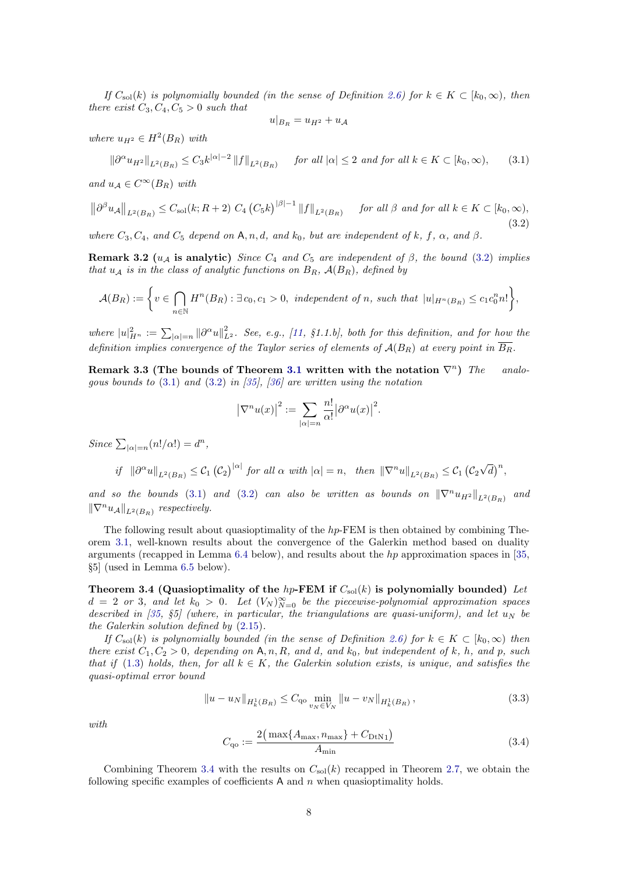If  $C_{\text{sol}}(k)$  is polynomially bounded (in the sense of Definition [2.6\)](#page-6-0) for  $k \in K \subset [k_0, \infty)$ , then there exist  $C_3, C_4, C_5 > 0$  such that

$$
u|_{B_R} = u_{H^2} + u_{\mathcal{A}}
$$

where  $u_{H^2} \in H^2(B_R)$  with

<span id="page-7-1"></span>
$$
\|\partial^{\alpha} u_{H^2}\|_{L^2(B_R)} \le C_3 k^{|\alpha|-2} \|f\|_{L^2(B_R)} \quad \text{for all } |\alpha| \le 2 \text{ and for all } k \in K \subset [k_0, \infty), \tag{3.1}
$$

and  $u_A \in C^{\infty}(B_R)$  with

<span id="page-7-3"></span>
$$
\left\|\partial^{\beta}u_{\mathcal{A}}\right\|_{L^{2}(B_{R})} \leq C_{\text{sol}}(k;R+2) C_{4}\left(C_{5}k\right)^{|\beta|-1} \|f\|_{L^{2}(B_{R})} \quad \text{for all } \beta \text{ and for all } k \in K \subset [k_{0},\infty),
$$
\n(3.2)

where  $C_3, C_4$ , and  $C_5$  depend on A, n, d, and  $k_0$ , but are independent of k, f,  $\alpha$ , and  $\beta$ .

Remark 3.2 ( $u_A$  is analytic) Since  $C_4$  and  $C_5$  are independent of  $\beta$ , the bound [\(3.2\)](#page-7-3) implies that  $u_A$  is in the class of analytic functions on  $B_R$ ,  $\mathcal{A}(B_R)$ , defined by

$$
\mathcal{A}(B_R) := \bigg\{ v \in \bigcap_{n \in \mathbb{N}} H^n(B_R) : \exists c_0, c_1 > 0, \text{ independent of } n, \text{ such that } |u|_{H^n(B_R)} \le c_1 c_0^n n! \bigg\},\
$$

where  $|u|_{H^n}^2 := \sum_{|\alpha|=n} ||\partial^\alpha u||_{L^2}^2$ . See, e.g., [\[11,](#page-19-17) §1.1.b], both for this definition, and for how the definition implies convergence of the Taylor series of elements of  $A(B_R)$  at every point in  $\overline{B_R}$ .

<span id="page-7-6"></span>Remark 3.3 (The bounds of Theorem [3.1](#page-6-1) written with the notation  $\nabla^n$ ) The analogous bounds to  $(3.1)$  and  $(3.2)$  in [\[35\]](#page-20-0), [\[36\]](#page-20-1) are written using the notation

$$
|\nabla^n u(x)|^2 := \sum_{|\alpha|=n} \frac{n!}{\alpha!} |\partial^{\alpha} u(x)|^2.
$$

Since  $\sum_{|\alpha|=n} (n!/\alpha!) = d^n$ ,

$$
if \|\partial^{\alpha}u\|_{L^{2}(B_{R})}\leq \mathcal{C}_{1}\left(\mathcal{C}_{2}\right)^{|\alpha|} \text{ for all } \alpha \text{ with } |\alpha|=n, \text{ then } \|\nabla^{n}u\|_{L^{2}(B_{R})}\leq \mathcal{C}_{1}\left(\mathcal{C}_{2}\sqrt{d}\right)^{n},
$$

and so the bounds [\(3.1\)](#page-7-1) and [\(3.2\)](#page-7-3) can also be written as bounds on  $\|\nabla^n u_{H^2}\|_{L^2(B_R)}$  and  $\|\nabla^n u_{\mathcal{A}}\|_{L^2(B_R)}$  respectively.

The following result about quasioptimality of the hp-FEM is then obtained by combining Theorem [3.1,](#page-6-1) well-known results about the convergence of the Galerkin method based on duality arguments (recapped in Lemma [6.4](#page-17-1) below), and results about the hp approximation spaces in [\[35,](#page-20-0) §5] (used in Lemma [6.5](#page-17-2) below).

<span id="page-7-0"></span>Theorem 3.4 (Quasioptimality of the hp-FEM if  $C_{\text{sol}}(k)$  is polynomially bounded) Let  $d = 2$  or 3, and let  $k_0 > 0$ . Let  $(V_N)_{N=0}^{\infty}$  be the piecewise-polynomial approximation spaces described in [\[35,](#page-20-0)  $\S5$ ] (where, in particular, the triangulations are quasi-uniform), and let  $u_N$  be the Galerkin solution defined by [\(2.15\)](#page-6-5).

If  $C_{\text{sol}}(k)$  is polynomially bounded (in the sense of Definition [2.6\)](#page-6-0) for  $k \in K \subset [k_0, \infty)$  then there exist  $C_1, C_2 > 0$ , depending on A, n, R, and d, and  $k_0$ , but independent of k, h, and p, such that if [\(1.3\)](#page-1-1) holds, then, for all  $k \in K$ , the Galerkin solution exists, is unique, and satisfies the quasi-optimal error bound

<span id="page-7-4"></span>
$$
||u - u_N||_{H^1_k(B_R)} \le C_{\mathbf{q}_0} \min_{v_N \in V_N} ||u - v_N||_{H^1_k(B_R)},
$$
\n(3.3)

with

<span id="page-7-5"></span>
$$
C_{\rm qo} := \frac{2(\max\{A_{\rm max}, n_{\rm max}\} + C_{\rm DtN1})}{A_{\rm min}}\tag{3.4}
$$

<span id="page-7-2"></span>Combining Theorem [3.4](#page-7-0) with the results on  $C_{\text{sol}}(k)$  recapped in Theorem [2.7,](#page-6-2) we obtain the following specific examples of coefficients  $A$  and  $n$  when quasioptimality holds.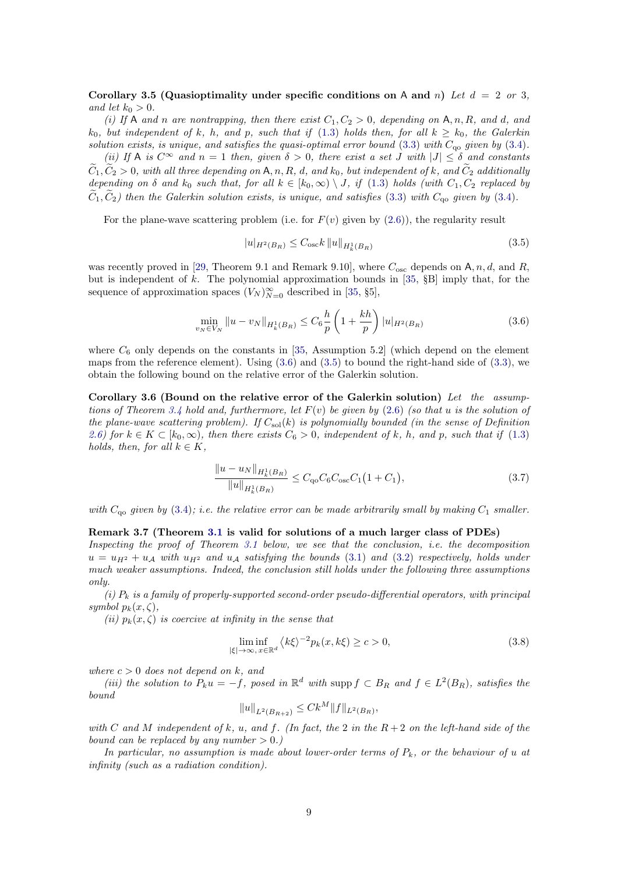Corollary 3.5 (Quasioptimality under specific conditions on A and n) Let  $d = 2$  or 3, and let  $k_0 > 0$ .

(i) If A and n are nontrapping, then there exist  $C_1, C_2 > 0$ , depending on A, n, R, and d, and  $k_0$ , but independent of k, h, and p, such that if [\(1.3\)](#page-1-1) holds then, for all  $k \geq k_0$ , the Galerkin solution exists, is unique, and satisfies the quasi-optimal error bound  $(3.3)$  with  $C_{\text{qo}}$  given by  $(3.4)$ .

(ii) If A is  $C^{\infty}$  and  $n = 1$  then, given  $\delta > 0$ , there exist a set J with  $|J| \leq \delta$  and constants  $\tilde{C}_1, \tilde{C}_2 > 0$ , with all three depending on A, n, R, d, and  $k_0$ , but independent of k, and  $\tilde{C}_2$  additionally depending on  $\delta$  and  $k_0$  such that, for all  $k \in [k_0, \infty) \setminus J$ , if [\(1.3\)](#page-1-1) holds (with  $C_1, C_2$  replaced by  $\tilde{C}_1, \tilde{C}_2$ ) then the Galerkin solution exists, is unique, and satisfies [\(3.3\)](#page-7-4) with  $C_{\text{qo}}$  given by [\(3.4\)](#page-7-5).

For the plane-wave scattering problem (i.e. for  $F(v)$  given by  $(2.6)$ ), the regularity result

<span id="page-8-3"></span>
$$
|u|_{H^2(B_R)} \le C_{\text{osc}} k \|u\|_{H^1_k(B_R)} \tag{3.5}
$$

was recently proved in [\[29,](#page-20-4) Theorem 9.1 and Remark 9.10], where  $C_{\rm osc}$  depends on A, n, d, and R, but is independent of  $k$ . The polynomial approximation bounds in [\[35,](#page-20-0)  $\S$ B] imply that, for the sequence of approximation spaces  $(V_N)_{N=0}^{\infty}$  described in [\[35,](#page-20-0) §5],

<span id="page-8-2"></span>
$$
\min_{v_N \in V_N} \|u - v_N\|_{H^1_k(B_R)} \le C_6 \frac{h}{p} \left(1 + \frac{kh}{p}\right) |u|_{H^2(B_R)} \tag{3.6}
$$

where  $C_6$  only depends on the constants in [\[35,](#page-20-0) Assumption 5.2] (which depend on the element maps from the reference element). Using  $(3.6)$  and  $(3.5)$  to bound the right-hand side of  $(3.3)$ , we obtain the following bound on the relative error of the Galerkin solution.

Corollary 3.6 (Bound on the relative error of the Galerkin solution) Let the assump-tions of Theorem [3.4](#page-7-0) hold and, furthermore, let  $F(v)$  be given by [\(2.6\)](#page-5-7) (so that u is the solution of the plane-wave scattering problem). If  $C_{sol}(k)$  is polynomially bounded (in the sense of Definition [2.6\)](#page-6-0) for  $k \in K \subset [k_0, \infty)$ , then there exists  $C_6 > 0$ , independent of k, h, and p, such that if [\(1.3\)](#page-1-1) holds, then, for all  $k \in K$ ,

$$
\frac{\|u - u_N\|_{H^1_k(B_R)}}{\|u\|_{H^1_k(B_R)}} \le C_{\mathbf{q}\circ} C_6 C_{\mathbf{osc}} C_1 \left(1 + C_1\right),\tag{3.7}
$$

with  $C_{\alpha}$  given by [\(3.4\)](#page-7-5); i.e. the relative error can be made arbitrarily small by making  $C_1$  smaller.

#### <span id="page-8-1"></span>Remark 3.7 (Theorem [3.1](#page-6-1) is valid for solutions of a much larger class of PDEs)

Inspecting the proof of Theorem [3.1](#page-6-1) below, we see that the conclusion, i.e. the decomposition  $u = u_{H^2} + u_A$  with  $u_{H^2}$  and  $u_A$  satisfying the bounds [\(3.1\)](#page-7-1) and [\(3.2\)](#page-7-3) respectively, holds under much weaker assumptions. Indeed, the conclusion still holds under the following three assumptions only.

(i)  $P_k$  is a family of properly-supported second-order pseudo-differential operators, with principal symbol  $p_k(x,\zeta)$ ,

(ii)  $p_k(x, \zeta)$  is coercive at infinity in the sense that

<span id="page-8-0"></span>
$$
\liminf_{|\xi| \to \infty, x \in \mathbb{R}^d} \langle k\xi \rangle^{-2} p_k(x, k\xi) \ge c > 0,
$$
\n(3.8)

where  $c > 0$  does not depend on k, and

(iii) the solution to  $P_k u = -f$ , posed in  $\mathbb{R}^d$  with supp  $f \subset B_R$  and  $f \in L^2(B_R)$ , satisfies the bound

$$
||u||_{L^2(B_{R+2})} \leq C k^M ||f||_{L^2(B_R)},
$$

with C and M independent of k, u, and f. (In fact, the 2 in the  $R+2$  on the left-hand side of the bound can be replaced by any number  $> 0.$ )

In particular, no assumption is made about lower-order terms of  $P_k$ , or the behaviour of u at infinity (such as a radiation condition).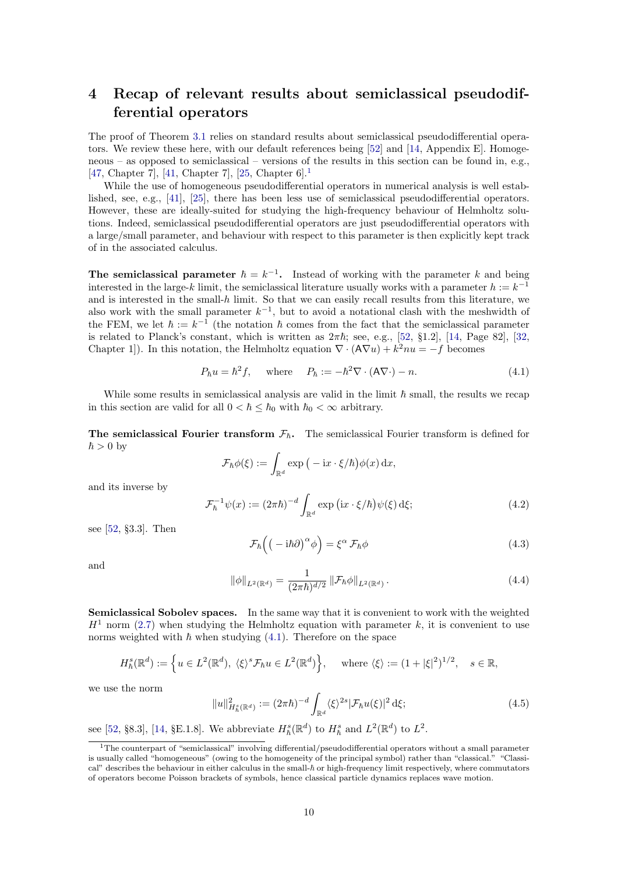## <span id="page-9-0"></span>4 Recap of relevant results about semiclassical pseudodifferential operators

The proof of Theorem [3.1](#page-6-1) relies on standard results about semiclassical pseudodifferential operators. We review these here, with our default references being [\[52\]](#page-20-7) and [\[14,](#page-19-9) Appendix E]. Homogeneous – as opposed to semiclassical – versions of the results in this section can be found in, e.g., [\[47,](#page-20-17) Chapter 7], [\[41,](#page-20-18) Chapter 7], [\[25,](#page-20-19) Chapter 6].[1](#page-9-1)

While the use of homogeneous pseudodifferential operators in numerical analysis is well established, see, e.g., [\[41\]](#page-20-18), [\[25\]](#page-20-19), there has been less use of semiclassical pseudodifferential operators. However, these are ideally-suited for studying the high-frequency behaviour of Helmholtz solutions. Indeed, semiclassical pseudodifferential operators are just pseudodifferential operators with a large/small parameter, and behaviour with respect to this parameter is then explicitly kept track of in the associated calculus.

The semiclassical parameter  $\hbar = k^{-1}$ . Instead of working with the parameter k and being interested in the large-k limit, the semiclassical literature usually works with a parameter  $h := k^{-1}$ and is interested in the small- $h$  limit. So that we can easily recall results from this literature, we also work with the small parameter  $k^{-1}$ , but to avoid a notational clash with the meshwidth of the FEM, we let  $\hbar := k^{-1}$  (the notation  $\hbar$  comes from the fact that the semiclassical parameter is related to Planck's constant, which is written as  $2\pi\hbar$ ; see, e.g., [\[52,](#page-20-7) §1.2], [\[14,](#page-19-9) Page 82], [\[32,](#page-20-20) Chapter 1). In this notation, the Helmholtz equation  $\nabla \cdot (\mathbf{A} \nabla u) + k^2 n u = -f$  becomes

<span id="page-9-2"></span>
$$
P_{\hbar}u = \hbar^2 f, \quad \text{where} \quad P_{\hbar} := -\hbar^2 \nabla \cdot (\mathsf{A} \nabla \cdot) - n. \tag{4.1}
$$

While some results in semiclassical analysis are valid in the limit  $\hbar$  small, the results we recap in this section are valid for all  $0 < \hbar \leq \hbar_0$  with  $\hbar_0 < \infty$  arbitrary.

The semiclassical Fourier transform  $\mathcal{F}_h$ . The semiclassical Fourier transform is defined for  $\hbar > 0$  by

$$
\mathcal{F}_{\hbar}\phi(\xi) := \int_{\mathbb{R}^d} \exp\big(-\mathrm{i} x\cdot\xi/\hbar\big)\phi(x)\,\mathrm{d} x,
$$

and its inverse by

 $\mathcal{F}_{\hbar}^{-1} \psi(x) := (2\pi \hbar)^{-d}$  $\int_{\mathbb{R}^d} \exp\left(ix \cdot \xi/\hbar\right) \psi(\xi) \,d\xi;$  (4.2)

see [\[52,](#page-20-7) §3.3]. Then

<span id="page-9-3"></span>
$$
\mathcal{F}_{\hbar}\left(\left(-i\hbar\partial\right)^{\alpha}\phi\right) = \xi^{\alpha}\,\mathcal{F}_{\hbar}\phi\tag{4.3}
$$

and

<span id="page-9-4"></span>
$$
\|\phi\|_{L^2(\mathbb{R}^d)} = \frac{1}{(2\pi\hbar)^{d/2}} \left\|\mathcal{F}_{\hbar}\phi\right\|_{L^2(\mathbb{R}^d)}.
$$
\n(4.4)

Semiclassical Sobolev spaces. In the same way that it is convenient to work with the weighted  $H<sup>1</sup>$  norm [\(2.7\)](#page-5-0) when studying the Helmholtz equation with parameter k, it is convenient to use norms weighted with  $\hbar$  when studying [\(4.1\)](#page-9-2). Therefore on the space

$$
H^s_{\hbar}(\mathbb{R}^d) := \left\{ u \in L^2(\mathbb{R}^d), \ \langle \xi \rangle^s \mathcal{F}_{\hbar} u \in L^2(\mathbb{R}^d) \right\}, \quad \text{where } \langle \xi \rangle := (1 + |\xi|^2)^{1/2}, \quad s \in \mathbb{R},
$$

we use the norm

$$
||u||_{H_h^s(\mathbb{R}^d)}^2 := (2\pi\hbar)^{-d} \int_{\mathbb{R}^d} \langle \xi \rangle^{2s} |\mathcal{F}_{\hbar}u(\xi)|^2 \,d\xi; \tag{4.5}
$$

see [\[52,](#page-20-7) §8.3], [\[14,](#page-19-9) §E.1.8]. We abbreviate  $H^s_{\hbar}(\mathbb{R}^d)$  to  $H^s_{\hbar}$  and  $L^2(\mathbb{R}^d)$  to  $L^2$ .

<span id="page-9-1"></span><sup>1</sup>The counterpart of "semiclassical" involving differential/pseudodifferential operators without a small parameter is usually called "homogeneous" (owing to the homogeneity of the principal symbol) rather than "classical." "Classical" describes the behaviour in either calculus in the small- $\hbar$  or high-frequency limit respectively, where commutators of operators become Poisson brackets of symbols, hence classical particle dynamics replaces wave motion.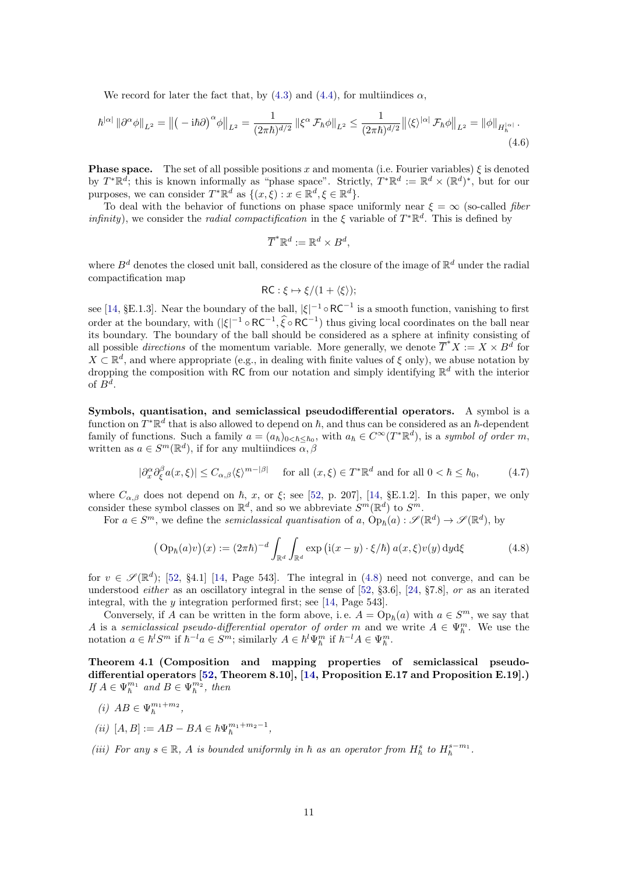We record for later the fact that, by  $(4.3)$  and  $(4.4)$ , for multiindices  $\alpha$ ,

$$
\hbar^{|\alpha|} \left\| \partial^{\alpha} \phi \right\|_{L^2} = \left\| \left( -i\hbar \partial \right)^{\alpha} \phi \right\|_{L^2} = \frac{1}{(2\pi \hbar)^{d/2}} \left\| \xi^{\alpha} \mathcal{F}_{\hbar} \phi \right\|_{L^2} \le \frac{1}{(2\pi \hbar)^{d/2}} \left\| \langle \xi \rangle^{|\alpha|} \mathcal{F}_{\hbar} \phi \right\|_{L^2} = \left\| \phi \right\|_{H_{\hbar}^{|\alpha|}}. \tag{4.6}
$$

**Phase space.** The set of all possible positions x and momenta (i.e. Fourier variables)  $\xi$  is denoted by  $T^*\mathbb{R}^d$ ; this is known informally as "phase space". Strictly,  $T^*\mathbb{R}^d := \mathbb{R}^d \times (\mathbb{R}^d)^*$ , but for our purposes, we can consider  $T^* \mathbb{R}^d$  as  $\{(x,\xi) : x \in \mathbb{R}^d, \xi \in \mathbb{R}^d\}.$ 

To deal with the behavior of functions on phase space uniformly near  $\xi = \infty$  (so-called *fiber infinity*), we consider the *radial compactification* in the  $\xi$  variable of  $T^*\mathbb{R}^d$ . This is defined by

<span id="page-10-2"></span>
$$
\overline{T}^* \mathbb{R}^d := \mathbb{R}^d \times B^d,
$$

where  $B^d$  denotes the closed unit ball, considered as the closure of the image of  $\mathbb{R}^d$  under the radial compactification map

$$
\mathsf{RC}: \xi \mapsto \xi/(1+\langle \xi \rangle);
$$

see [\[14,](#page-19-9) §E.1.3]. Near the boundary of the ball,  $|\xi|^{-1} \circ RC^{-1}$  is a smooth function, vanishing to first order at the boundary, with  $(|\xi|^{-1} \circ RC^{-1}, \hat{\xi} \circ RC^{-1})$  thus giving local coordinates on the ball near its boundary. The boundary of the ball should be considered as a sphere at infinity consisting of all possible *directions* of the momentum variable. More generally, we denote  $\overline{T}^*X := X \times B^d$  for  $X \subset \mathbb{R}^d$ , and where appropriate (e.g., in dealing with finite values of  $\xi$  only), we abuse notation by dropping the composition with RC from our notation and simply identifying  $\mathbb{R}^d$  with the interior of  $B^d$ .

Symbols, quantisation, and semiclassical pseudodifferential operators. A symbol is a function on  $T^*\mathbb{R}^d$  that is also allowed to depend on  $\hbar$ , and thus can be considered as an  $\hbar$ -dependent family of functions. Such a family  $a = (a_{\hbar})_{0 < \hbar \leq \hbar_0}$ , with  $a_{\hbar} \in C^{\infty}(T^*\mathbb{R}^d)$ , is a symbol of order m, written as  $a \in S^m(\mathbb{R}^d)$ , if for any multiindices  $\alpha, \beta$ 

$$
|\partial_x^{\alpha} \partial_{\xi}^{\beta} a(x,\xi)| \le C_{\alpha,\beta} \langle \xi \rangle^{m-|\beta|} \quad \text{for all } (x,\xi) \in T^* \mathbb{R}^d \text{ and for all } 0 < \hbar \le \hbar_0,\tag{4.7}
$$

where  $C_{\alpha,\beta}$  does not depend on  $\hbar$ , x, or  $\xi$ ; see [\[52,](#page-20-7) p. 207], [\[14,](#page-19-9) §E.1.2]. In this paper, we only consider these symbol classes on  $\mathbb{R}^d$ , and so we abbreviate  $S^m(\mathbb{R}^d)$  to  $S^m$ .

For  $a \in S^m$ , we define the *semiclassical quantisation* of a,  $Op_h(a): \mathscr{S}(\mathbb{R}^d) \to \mathscr{S}(\mathbb{R}^d)$ , by

<span id="page-10-0"></span>
$$
\left(\text{Op}_{\hbar}(a)v\right)(x) := (2\pi\hbar)^{-d} \int_{\mathbb{R}^d} \int_{\mathbb{R}^d} \exp\left(\text{i}(x-y) \cdot \xi/\hbar\right) a(x,\xi)v(y) \,dyd\xi \tag{4.8}
$$

for  $v \in \mathscr{S}(\mathbb{R}^d)$ ; [\[52,](#page-20-7) §4.1] [\[14,](#page-19-9) Page 543]. The integral in [\(4.8\)](#page-10-0) need not converge, and can be understood *either* as an oscillatory integral in the sense of  $[52, 83.6]$  $[52, 83.6]$ ,  $[24, 87.8]$  $[24, 87.8]$ , or as an iterated integral, with the  $y$  integration performed first; see [\[14,](#page-19-9) Page 543].

Conversely, if A can be written in the form above, i.e.  $A = \text{Op}_\hbar(a)$  with  $a \in S^m$ , we say that A is a semiclassical pseudo-differential operator of order m and we write  $A \in \Psi_{\hbar}^m$ . We use the notation  $a \in \hbar^l S^m$  if  $\hbar^{-l} a \in S^m$ ; similarly  $A \in \hbar^l \Psi_{\hbar}^m$  if  $\hbar^{-l} A \in \Psi_{\hbar}^m$ .

<span id="page-10-1"></span>Theorem 4.1 (Composition and mapping properties of semiclassical pseudodifferential operators [\[52,](#page-20-7) Theorem 8.10], [\[14,](#page-19-9) Proposition E.17 and Proposition E.19].) If  $A \in \Psi_{\hbar}^{m_1}$  and  $B \in \Psi_{\hbar}^{m_2}$ , then

$$
(i) \ AB \in \Psi_{\hbar}^{m_1+m_2},
$$

- (*ii*)  $[A, B] := AB BA \in \hbar \Psi_{\hbar}^{m_1 + m_2 1},$
- (iii) For any  $s \in \mathbb{R}$ , A is bounded uniformly in  $\hbar$  as an operator from  $H^s_{\hbar}$  to  $H^{s-m_1}_{\hbar}$ .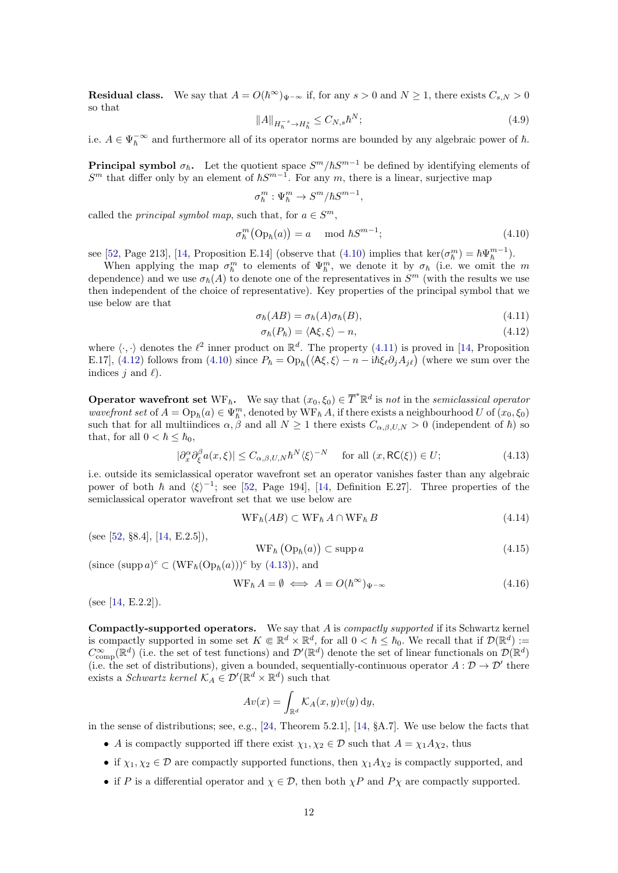**Residual class.** We say that  $A = O(\hbar^{\infty})_{\Psi^{-\infty}}$  if, for any  $s > 0$  and  $N \ge 1$ , there exists  $C_{s,N} > 0$ so that

<span id="page-11-7"></span>
$$
||A||_{H_h^{-s} \to H_h^s} \le C_{N,s} \hbar^N; \tag{4.9}
$$

i.e.  $A \in \Psi_h^{-\infty}$  and furthermore all of its operator norms are bounded by any algebraic power of  $\hbar$ .

**Principal symbol**  $\sigma_{\hbar}$ . Let the quotient space  $S^m/\hbar S^{m-1}$  be defined by identifying elements of  $S<sup>m</sup>$  that differ only by an element of  $\hbar S^{m-1}$ . For any m, there is a linear, surjective map

$$
\sigma_{\hbar}^{m} : \Psi_{\hbar}^{m} \to S^{m} / \hbar S^{m-1},
$$

called the *principal symbol map*, such that, for  $a \in S^m$ ,

<span id="page-11-1"></span>
$$
\sigma_{\hbar}^{m}(\text{Op}_{\hbar}(a)) = a \mod \hbar S^{m-1};\tag{4.10}
$$

see [\[52,](#page-20-7) Page 213], [\[14,](#page-19-9) Proposition E.14] (observe that  $(4.10)$  implies that ker $(\sigma_{\hbar}^m) = \hbar \Psi_{\hbar}^{m-1}$ ).

When applying the map  $\sigma_{\hbar}^m$  to elements of  $\Psi_{\hbar}^m$ , we denote it by  $\sigma_{\hbar}$  (i.e. we omit the m dependence) and we use  $\sigma_{\hbar}(A)$  to denote one of the representatives in  $S^m$  (with the results we use then independent of the choice of representative). Key properties of the principal symbol that we use below are that

<span id="page-11-2"></span>
$$
\sigma_{\hbar}(AB) = \sigma_{\hbar}(A)\sigma_{\hbar}(B),\tag{4.11}
$$

<span id="page-11-0"></span>
$$
\sigma_{\hbar}(P_{\hbar}) = \langle \mathsf{A}\xi, \xi \rangle - n, \tag{4.12}
$$

where  $\langle \cdot, \cdot \rangle$  denotes the  $\ell^2$  inner product on  $\mathbb{R}^d$ . The property [\(4.11\)](#page-11-2) is proved in [\[14,](#page-19-9) Proposition E.17], [\(4.12\)](#page-11-0) follows from [\(4.10\)](#page-11-1) since  $P_{\hbar} = \text{Op}_{\hbar}(\langle A\xi, \xi \rangle - n - i\hbar \xi_{\ell} \partial_j A_{j\ell})$  (where we sum over the indices  $j$  and  $\ell$ ).

**Operator wavefront set**  $WF_{\hbar}$ . We say that  $(x_0, \xi_0) \in \overline{T}^* \mathbb{R}^d$  is not in the semiclassical operator wavefront set of  $A = \text{Op}_\hbar(a) \in \Psi_\hbar^m$ , denoted by  $WF_\hbar A$ , if there exists a neighbourhood U of  $(x_0, \xi_0)$ such that for all multiindices  $\alpha, \beta$  and all  $N \ge 1$  there exists  $C_{\alpha,\beta,U,N} > 0$  (independent of  $\hbar$ ) so that, for all  $0 < \hbar \leq \hbar_0$ ,

<span id="page-11-3"></span>
$$
|\partial_x^{\alpha} \partial_{\xi}^{\beta} a(x,\xi)| \le C_{\alpha,\beta,U,N} \hbar^N \langle \xi \rangle^{-N} \quad \text{for all } (x, \mathsf{RC}(\xi)) \in U; \tag{4.13}
$$

i.e. outside its semiclassical operator wavefront set an operator vanishes faster than any algebraic power of both  $\hbar$  and  $\langle \xi \rangle^{-1}$ ; see [\[52,](#page-20-7) Page 194], [\[14,](#page-19-9) Definition E.27]. Three properties of the semiclassical operator wavefront set that we use below are

<span id="page-11-5"></span>
$$
WF_{\hbar}(AB) \subset WF_{\hbar} A \cap WF_{\hbar} B \tag{4.14}
$$

(see [\[52,](#page-20-7) §8.4], [\[14,](#page-19-9) E.2.5]),

<span id="page-11-4"></span>
$$
WF_{\hbar} (Op_{\hbar}(a)) \subset \operatorname{supp} a \tag{4.15}
$$

(since  $(\text{supp }a)^c \subset (\text{WF}_{\hbar}(Op_{\hbar}(a)))^c$  by  $(4.13)$ ), and

<span id="page-11-6"></span>
$$
WF_{\hbar} A = \emptyset \iff A = O(\hbar^{\infty})_{\Psi^{-\infty}}
$$
\n(4.16)

(see [\[14,](#page-19-9) E.2.2]).

**Compactly-supported operators.** We say that  $A$  is *compactly supported* if its Schwartz kernel is compactly supported in some set  $K \in \mathbb{R}^d \times \mathbb{R}^d$ , for all  $0 < \hbar \leq \hbar_0$ . We recall that if  $\mathcal{D}(\mathbb{R}^d) :=$  $C_{\text{comp}}^{\infty}(\mathbb{R}^d)$  (i.e. the set of test functions) and  $\mathcal{D}'(\mathbb{R}^d)$  denote the set of linear functionals on  $\mathcal{D}(\mathbb{R}^d)$ (i.e. the set of distributions), given a bounded, sequentially-continuous operator  $A: \mathcal{D} \to \mathcal{D}'$  there exists a *Schwartz kernel*  $\mathcal{K}_A \in \mathcal{D}'(\mathbb{R}^d \times \mathbb{R}^d)$  such that

$$
Av(x) = \int_{\mathbb{R}^d} \mathcal{K}_A(x, y)v(y) \, dy,
$$

in the sense of distributions; see, e.g., [\[24,](#page-20-21) Theorem 5.2.1], [\[14,](#page-19-9) §A.7]. We use below the facts that

- A is compactly supported iff there exist  $\chi_1, \chi_2 \in \mathcal{D}$  such that  $A = \chi_1 A \chi_2$ , thus
- if  $\chi_1, \chi_2 \in \mathcal{D}$  are compactly supported functions, then  $\chi_1 A \chi_2$  is compactly supported, and
- if P is a differential operator and  $\chi \in \mathcal{D}$ , then both  $\chi P$  and  $P\chi$  are compactly supported.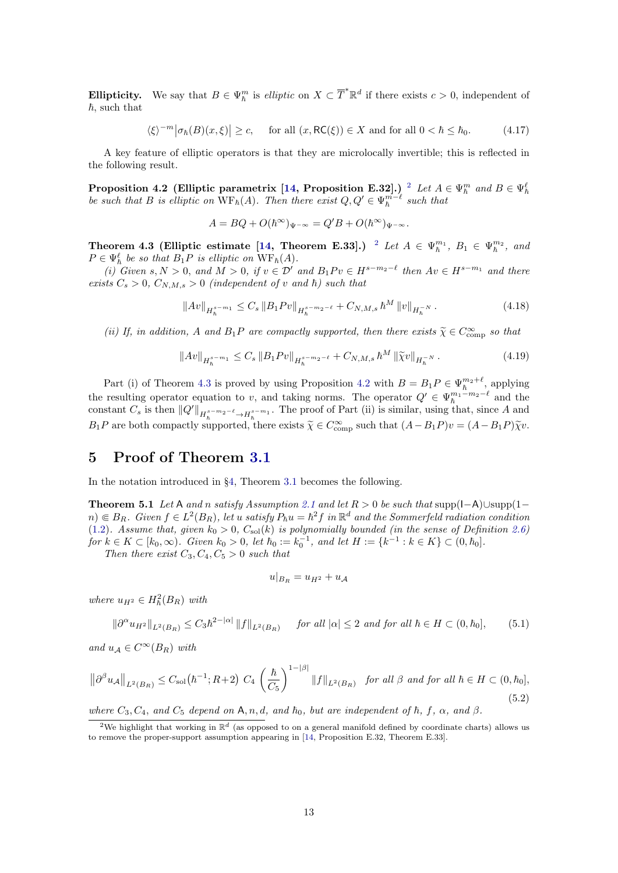**Ellipticity.** We say that  $B \in \Psi_h^m$  is *elliptic* on  $X \subset \overline{T}^* \mathbb{R}^d$  if there exists  $c > 0$ , independent of  $\hbar$ , such that

<span id="page-12-0"></span>
$$
\langle \xi \rangle^{-m} \big| \sigma_{\hbar}(B)(x,\xi) \big| \ge c, \quad \text{ for all } (x, \mathsf{RC}(\xi)) \in X \text{ and for all } 0 < \hbar \le \hbar_0. \tag{4.17}
$$

A key feature of elliptic operators is that they are microlocally invertible; this is reflected in the following result.

<span id="page-12-4"></span>Proposition 4.2 (Elliptic parametrix [\[14,](#page-19-9) Proposition E.3[2](#page-12-3)].)<sup>2</sup> Let  $A \in \Psi_{\hbar}^m$  and  $B \in \Psi_{\hbar}^{\ell}$ be such that B is elliptic on  $WF_{\hbar}(A)$ . Then there exist  $Q, Q' \in \Psi_{\hbar}^{m-\ell}$  such that

$$
A = BQ + O(\hbar^{\infty})_{\Psi^{-\infty}} = Q'B + O(\hbar^{\infty})_{\Psi^{-\infty}}.
$$

<span id="page-12-1"></span>Theorem 4.3 (Elliptic estimate [\[14,](#page-19-9) Theorem E.33].) <sup>[2](#page-12-3)</sup> Let  $A \in \Psi_{\hbar}^{m_1}, B_1 \in \Psi_{\hbar}^{m_2}$ , and  $P \in \Psi_{\hbar}^{\ell}$  be so that  $B_1 P$  is elliptic on  $WF_{\hbar}(A)$ .

(i) Given  $s, N > 0$ , and  $M > 0$ , if  $v \in \mathcal{D}'$  and  $B_1 P v \in H^{s-m_2-\ell}$  then  $Av \in H^{s-m_1}$  and there exists  $C_s > 0$ ,  $C_{N,M,s} > 0$  (independent of v and  $\hbar$ ) such that

$$
||Av||_{H_h^{s-m_1}} \leq C_s \, ||B_1Pv||_{H_h^{s-m_2-\ell}} + C_{N,M,s} \, \hbar^M \, ||v||_{H_h^{-N}} \,. \tag{4.18}
$$

(ii) If, in addition, A and  $B_1P$  are compactly supported, then there exists  $\tilde{\chi} \in C_{\text{comp}}^{\infty}$  so that

$$
||Av||_{H_h^{s-m_1}} \leq C_s \, ||B_1Pv||_{H_h^{s-m_2-\ell}} + C_{N,M,s} \, \hbar^M \, ||\widetilde{\chi}v||_{H_h^{-N}} \,. \tag{4.19}
$$

Part (i) of Theorem [4.3](#page-12-1) is proved by using Proposition [4.2](#page-12-4) with  $B = B_1 P \in \Psi_h^{m_2+\ell}$ , applying the resulting operator equation to v, and taking norms. The operator  $Q' \in \Psi_{\hbar}^{m_1-m_2-\ell}$  and the constant  $C_s$  is then  $||Q'||_{H_h^{s-m_2-\ell} \to H_h^{s-m_1}}$ . The proof of Part (ii) is similar, using that, since A and  $B_1P$  are both compactly supported, there exists  $\tilde{\chi} \in C_{\text{comp}}^{\infty}$  such that  $(A - B_1P)v = (A - B_1P)\tilde{\chi}v$ .

### <span id="page-12-2"></span>5 Proof of Theorem [3.1](#page-6-1)

In the notation introduced in §[4,](#page-9-0) Theorem [3.1](#page-6-1) becomes the following.

Theorem 5.1 Let A and n satisfy Assumption [2.1](#page-4-2) and let  $R > 0$  be such that supp( $I-A$ )∪supp( $I-A$  $n) \in B_R$ . Given  $f \in L^2(B_R)$ , let u satisfy  $P_{\hbar}u = \hbar^2 f$  in  $\mathbb{R}^d$  and the Sommerfeld radiation condition [\(1.2\)](#page-0-1). Assume that, given  $k_0 > 0$ ,  $C_{\text{sol}}(k)$  is polynomially bounded (in the sense of Definition [2.6\)](#page-6-0) for  $k \in K \subset [k_0, \infty)$ . Given  $k_0 > 0$ , let  $\hbar_0 := k_0^{-1}$ , and let  $H := \{k^{-1} : k \in K\} \subset (0, \hbar_0]$ .

Then there exist  $C_3, C_4, C_5 > 0$  such that

$$
u|_{B_R} = u_{H^2} + u_{\mathcal{A}}
$$

where  $u_{H^2} \in H^2_h(B_R)$  with

<span id="page-12-5"></span>
$$
\|\partial^{\alpha} u_{H^2}\|_{L^2(B_R)} \le C_3 \hbar^{2-|\alpha|} \|f\|_{L^2(B_R)} \quad \text{for all } |\alpha| \le 2 \text{ and for all } \hbar \in H \subset (0, \hbar_0], \tag{5.1}
$$

and  $u_A \in C^{\infty}(B_R)$  with

<span id="page-12-6"></span>
$$
\left\|\partial^{\beta}u_{\mathcal{A}}\right\|_{L^{2}(B_{R})} \leq C_{\text{sol}}(\hbar^{-1};R+2) C_{4} \left(\frac{\hbar}{C_{5}}\right)^{1-|\beta|} \|f\|_{L^{2}(B_{R})} \text{ for all } \beta \text{ and for all } \hbar \in H \subset (0,\hbar_{0}],
$$
\n
$$
(5.2)
$$

where  $C_3, C_4,$  and  $C_5$  depend on A, n, d, and  $h_0$ , but are independent of  $h, f, \alpha$ , and  $\beta$ .

<span id="page-12-3"></span><sup>&</sup>lt;sup>2</sup>We highlight that working in  $\mathbb{R}^d$  (as opposed to on a general manifold defined by coordinate charts) allows us to remove the proper-support assumption appearing in [\[14,](#page-19-9) Proposition E.32, Theorem E.33].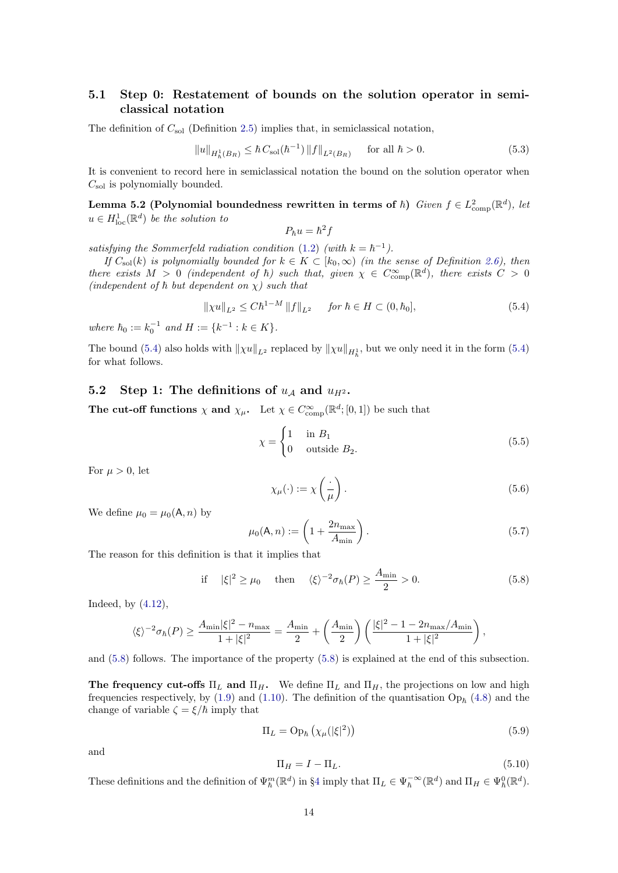### 5.1 Step 0: Restatement of bounds on the solution operator in semiclassical notation

The definition of  $C_{sol}$  (Definition [2.5\)](#page-5-2) implies that, in semiclassical notation,

<span id="page-13-5"></span>
$$
||u||_{H_h^1(B_R)} \le \hbar C_{\text{sol}}(\hbar^{-1}) ||f||_{L^2(B_R)} \quad \text{for all } \hbar > 0.
$$
 (5.3)

It is convenient to record here in semiclassical notation the bound on the solution operator when  $C_{\rm sol}$  is polynomially bounded.

Lemma 5.2 (Polynomial boundedness rewritten in terms of  $\hbar$ ) Given  $f \in L^2_{\text{comp}}(\mathbb{R}^d)$ , let  $u \in H^1_{loc}(\mathbb{R}^d)$  be the solution to

$$
P_{\hbar}u=\hbar^2 f
$$

satisfying the Sommerfeld radiation condition [\(1.2\)](#page-0-1) (with  $k = \hbar^{-1}$ ).

If  $C_{\text{sol}}(k)$  is polynomially bounded for  $k \in K \subset [k_0, \infty)$  (in the sense of Definition [2.6\)](#page-6-0), then there exists  $M > 0$  (independent of  $\hbar$ ) such that, given  $\chi \in C_{\text{comp}}^{\infty}(\mathbb{R}^d)$ , there exists  $C > 0$ (independent of  $\hbar$  but dependent on  $\chi$ ) such that

<span id="page-13-1"></span>
$$
\|\chi u\|_{L^2} \le C\hbar^{1-M} \|f\|_{L^2} \quad \text{for } \hbar \in H \subset (0, \hbar_0],
$$
 (5.4)

where  $\hbar_0 := k_0^{-1}$  and  $H := \{k^{-1} : k \in K\}.$ 

The bound [\(5.4\)](#page-13-1) also holds with  $\|\chi u\|_{L^2}$  replaced by  $\|\chi u\|_{H^1_h}$ , but we only need it in the form (5.4) for what follows.

### 5.2 Step 1: The definitions of  $u_A$  and  $u_{H^2}$ .

The cut-off functions  $\chi$  and  $\chi_{\mu}$ . Let  $\chi \in C_{\text{comp}}^{\infty}(\mathbb{R}^d; [0,1])$  be such that

<span id="page-13-3"></span>
$$
\chi = \begin{cases} 1 & \text{in } B_1 \\ 0 & \text{outside } B_2. \end{cases} \tag{5.5}
$$

For  $\mu > 0$ , let

<span id="page-13-4"></span>
$$
\chi_{\mu}(\cdot) := \chi\left(\frac{\cdot}{\mu}\right). \tag{5.6}
$$

We define  $\mu_0 = \mu_0(A, n)$  by

<span id="page-13-0"></span>
$$
\mu_0(\mathsf{A}, n) := \left(1 + \frac{2n_{\text{max}}}{A_{\text{min}}}\right). \tag{5.7}
$$

The reason for this definition is that it implies that

<span id="page-13-2"></span>if 
$$
|\xi|^2 \ge \mu_0
$$
 then  $\langle \xi \rangle^{-2} \sigma_{\hbar}(P) \ge \frac{A_{\min}}{2} > 0.$  (5.8)

Indeed, by [\(4.12\)](#page-11-0),

$$
\langle \xi \rangle^{-2} \sigma_{\hbar}(P) \ge \frac{A_{\min} |\xi|^2 - n_{\max}}{1 + |\xi|^2} = \frac{A_{\min}}{2} + \left(\frac{A_{\min}}{2}\right) \left(\frac{|\xi|^2 - 1 - 2n_{\max}/A_{\min}}{1 + |\xi|^2}\right),
$$

and [\(5.8\)](#page-13-2) follows. The importance of the property [\(5.8\)](#page-13-2) is explained at the end of this subsection.

The frequency cut-offs  $\Pi_L$  and  $\Pi_H$ . We define  $\Pi_L$  and  $\Pi_H$ , the projections on low and high frequencies respectively, by [\(1.9\)](#page-2-3) and [\(1.10\)](#page-2-4). The definition of the quantisation  $\mathcal{O}_{\mathcal{P}_{\hbar}}(4.8)$  $\mathcal{O}_{\mathcal{P}_{\hbar}}(4.8)$  and the change of variable  $\zeta = \xi/\hbar$  imply that

$$
\Pi_L = \text{Op}_\hbar \left( \chi_\mu (|\xi|^2) \right) \tag{5.9}
$$

and

$$
\Pi_H = I - \Pi_L. \tag{5.10}
$$

These definitions and the definition of  $\Psi_{\hbar}^{m}(\mathbb{R}^{d})$  in §[4](#page-9-0) imply that  $\Pi_{L} \in \Psi_{\hbar}^{-\infty}(\mathbb{R}^{d})$  and  $\Pi_{H} \in \Psi_{\hbar}^{0}(\mathbb{R}^{d})$ .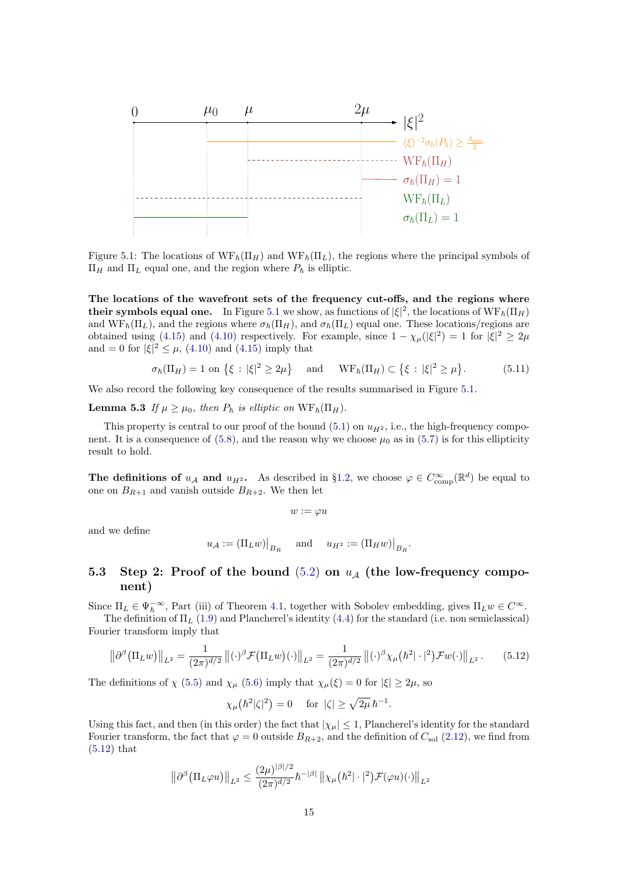

<span id="page-14-1"></span>Figure 5.1: The locations of  $WF_{\hbar}(\Pi_H)$  and  $WF_{\hbar}(\Pi_L)$ , the regions where the principal symbols of  $\Pi_H$  and  $\Pi_L$  equal one, and the region where  $P_h$  is elliptic.

The locations of the wavefront sets of the frequency cut-offs, and the regions where their symbols equal one. In Figure [5.1](#page-14-1) we show, as functions of  $|\xi|^2$ , the locations of  $\text{WF}_{\hbar}(\Pi_H)$ and  $WF_{\hbar}(\Pi_L)$ , and the regions where  $\sigma_{\hbar}(\Pi_H)$ , and  $\sigma_{\hbar}(\Pi_L)$  equal one. These locations/regions are obtained using [\(4.15\)](#page-11-4) and [\(4.10\)](#page-11-1) respectively. For example, since  $1 - \chi_{\mu}(|\xi|^2) = 1$  for  $|\xi|^2 \geq 2\mu$ and = 0 for  $|\xi|^2 \leq \mu$ , [\(4.10\)](#page-11-1) and [\(4.15\)](#page-11-4) imply that

$$
\sigma_{\hbar}(\Pi_H) = 1 \text{ on } \{\xi : |\xi|^2 \ge 2\mu\} \quad \text{and} \quad \text{WF}_{\hbar}(\Pi_H) \subset \{\xi : |\xi|^2 \ge \mu\}. \tag{5.11}
$$

We also record the following key consequence of the results summarised in Figure [5.1.](#page-14-1)

**Lemma 5.3** If  $\mu \geq \mu_0$ , then  $P_{\hbar}$  is elliptic on  $WF_{\hbar}(\Pi_H)$ .

This property is central to our proof of the bound [\(5.1\)](#page-12-5) on  $u_{H^2}$ , i.e., the high-frequency compo-nent. It is a consequence of [\(5.8\)](#page-13-2), and the reason why we choose  $\mu_0$  as in [\(5.7\)](#page-13-0) is for this ellipticity result to hold.

The definitions of  $u_{\mathcal{A}}$  and  $u_{H^2}$ . As described in §[1.2,](#page-1-3) we choose  $\varphi \in C_{\text{comp}}^{\infty}(\mathbb{R}^d)$  be equal to one on  $B_{R+1}$  and vanish outside  $B_{R+2}$ . We then let

<span id="page-14-3"></span>
$$
w:=\varphi u
$$

and we define

$$
u_{\mathcal{A}} := (\Pi_L w)|_{B_R}
$$
 and  $u_{H^2} := (\Pi_H w)|_{B_R}$ .

### <span id="page-14-0"></span>5.3 Step 2: Proof of the bound  $(5.2)$  on  $u_A$  (the low-frequency component)

Since  $\Pi_L \in \Psi_\hbar^{-\infty}$ , Part (iii) of Theorem [4.1,](#page-10-1) together with Sobolev embedding, gives  $\Pi_L w \in C^\infty$ . The definition of  $\Pi_L$  [\(1.9\)](#page-2-3) and Plancherel's identity [\(4.4\)](#page-9-4) for the standard (i.e. non semiclassical)

Fourier transform imply that

<span id="page-14-2"></span>
$$
\left\|\partial^{\beta}(\Pi_{L}w)\right\|_{L^{2}} = \frac{1}{(2\pi)^{d/2}} \left\| (\cdot)^{\beta} \mathcal{F}(\Pi_{L}w)(\cdot) \right\|_{L^{2}} = \frac{1}{(2\pi)^{d/2}} \left\| (\cdot)^{\beta} \chi_{\mu}\left(\hbar^{2}|\cdot|^{2}\right) \mathcal{F}w(\cdot) \right\|_{L^{2}}.
$$
 (5.12)

The definitions of  $\chi$  [\(5.5\)](#page-13-3) and  $\chi_{\mu}$  [\(5.6\)](#page-13-4) imply that  $\chi_{\mu}(\xi) = 0$  for  $|\xi| \geq 2\mu$ , so

$$
\chi_{\mu}\big(\hbar^2|\zeta|^2\big) = 0 \quad \text{ for } |\zeta| \ge \sqrt{2\mu} \,\hbar^{-1}.
$$

Using this fact, and then (in this order) the fact that  $|\chi_{\mu}| \leq 1$ , Plancherel's identity for the standard Fourier transform, the fact that  $\varphi = 0$  outside  $B_{R+2}$ , and the definition of  $C_{sol}$  [\(2.12\)](#page-5-1), we find from [\(5.12\)](#page-14-2) that

$$
\left\|\partial^{\beta}\left(\Pi_{L}\varphi u\right)\right\|_{L^{2}} \leq \frac{(2\mu)^{|\beta|/2}}{(2\pi)^{d/2}}\hbar^{-|\beta|}\left\|\chi_{\mu}\left(\hbar^{2}|\cdot|^{2}\right)\mathcal{F}(\varphi u)(\cdot)\right\|_{L^{2}}
$$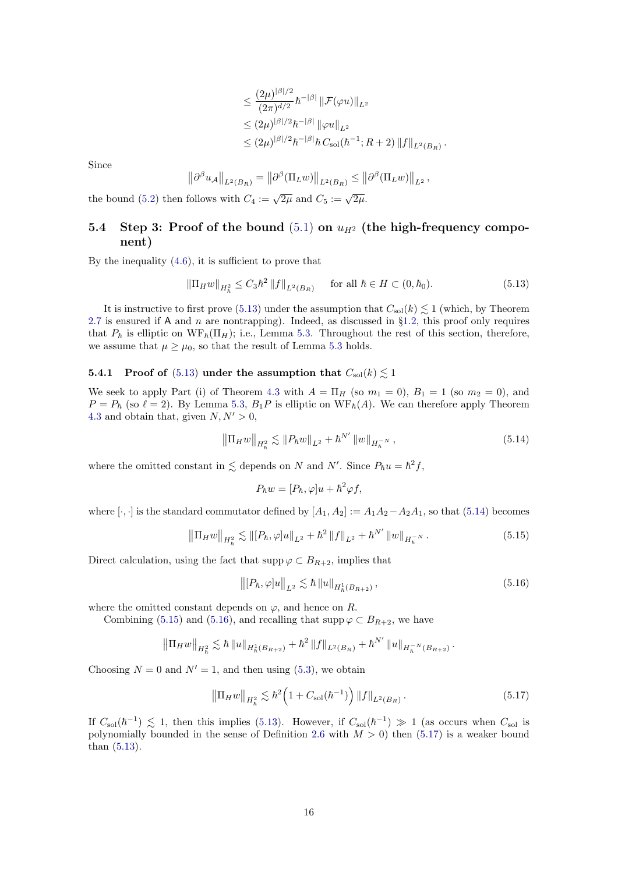$$
\leq \frac{(2\mu)^{|\beta|/2}}{(2\pi)^{d/2}} \hbar^{-|\beta|} \|\mathcal{F}(\varphi u)\|_{L^2} \leq (2\mu)^{|\beta|/2} \hbar^{-|\beta|} \|\varphi u\|_{L^2} \leq (2\mu)^{|\beta|/2} \hbar^{-|\beta|} \hbar C_{\text{sol}}(\hbar^{-1}; R + 2) \|f\|_{L^2(B_R)}.
$$

Since

$$
\left\|\partial^{\beta} u_{\mathcal{A}}\right\|_{L^{2}(B_{R})}=\left\|\partial^{\beta} (\Pi_{L} w)\right\|_{L^{2}(B_{R})}\leq \left\|\partial^{\beta} (\Pi_{L} w)\right\|_{L^{2}},
$$

the bound [\(5.2\)](#page-12-6) then follows with  $C_4 := \sqrt{2\mu}$  and  $C_5 := \sqrt{2\mu}$ .

### 5.4 Step 3: Proof of the bound  $(5.1)$  on  $u_{H^2}$  (the high-frequency component)

By the inequality  $(4.6)$ , it is sufficient to prove that

<span id="page-15-0"></span>
$$
\|\Pi_H w\|_{H_h^2} \le C_3 \hbar^2 \|f\|_{L^2(B_R)} \quad \text{for all } \hbar \in H \subset (0, \hbar_0). \tag{5.13}
$$

It is instructive to first prove [\(5.13\)](#page-15-0) under the assumption that  $C_{sol}(k) \lesssim 1$  (which, by Theorem [2.7](#page-6-2) is ensured if A and  $n$  are nontrapping). Indeed, as discussed in §[1.2,](#page-1-3) this proof only requires that  $P_{\hbar}$  is elliptic on  $WF_{\hbar}(\Pi_H)$ ; i.e., Lemma [5.3.](#page-14-3) Throughout the rest of this section, therefore, we assume that  $\mu \geq \mu_0$ , so that the result of Lemma [5.3](#page-14-3) holds.

#### <span id="page-15-5"></span>**5.4.1** Proof of [\(5.13\)](#page-15-0) under the assumption that  $C_{\text{sol}}(k) \lesssim 1$

We seek to apply Part (i) of Theorem [4.3](#page-12-1) with  $A = \Pi_H$  (so  $m_1 = 0$ ),  $B_1 = 1$  (so  $m_2 = 0$ ), and  $P = P_{\hbar}$  (so  $\ell = 2$ ). By Lemma [5.3,](#page-14-3)  $B_1P$  is elliptic on  $WF_{\hbar}(A)$ . We can therefore apply Theorem [4.3](#page-12-1) and obtain that, given  $N, N' > 0$ ,

<span id="page-15-1"></span>
$$
\left\|\Pi_{H}w\right\|_{H_{h}^{2}} \lesssim \|P_{\hbar}w\|_{L^{2}} + \hbar^{N'}\left\|w\right\|_{H_{h}^{-N}},\tag{5.14}
$$

where the omitted constant in  $\leq$  depends on N and N'. Since  $P_{\hbar}u = \hbar^2 f$ ,

 $P_{\hbar}w = [P_{\hbar}, \varphi]u + \hbar^2 \varphi f,$ 

where  $[\cdot,\cdot]$  is the standard commutator defined by  $[A_1, A_2] := A_1A_2 - A_2A_1$ , so that [\(5.14\)](#page-15-1) becomes

<span id="page-15-2"></span>
$$
\left\|\Pi_{H}w\right\|_{H_{h}^{2}} \lesssim \left\|[P_{\hbar},\varphi]u\right\|_{L^{2}} + \hbar^{2} \left\|f\right\|_{L^{2}} + \hbar^{N'} \left\|w\right\|_{H_{h}^{-N}}.
$$
\n(5.15)

Direct calculation, using the fact that supp  $\varphi \subset B_{R+2}$ , implies that  $\mathcal{L}_{\mathcal{L}}$ 

<span id="page-15-3"></span>
$$
\left\| [P_{\hbar}, \varphi] u \right\|_{L^2} \lesssim \hbar \left\| u \right\|_{H^1_{\hbar}(B_{R+2})},\tag{5.16}
$$

where the omitted constant depends on  $\varphi$ , and hence on R.

Combining [\(5.15\)](#page-15-2) and [\(5.16\)](#page-15-3), and recalling that  $\text{supp}\,\varphi \subset B_{R+2}$ , we have

$$
\left\|\Pi_H w\right\|_{H_h^2} \lesssim \hbar \left\|u\right\|_{H_h^1(B_{R+2})} + \hbar^2 \left\|f\right\|_{L^2(B_R)} + \hbar^{N'} \left\|u\right\|_{H_h^{-N}(B_{R+2})}.
$$

Choosing  $N = 0$  and  $N' = 1$ , and then using [\(5.3\)](#page-13-5), we obtain

<span id="page-15-4"></span>
$$
\left\| \Pi_H w \right\|_{H_h^2} \lesssim \hbar^2 \left( 1 + C_{\text{sol}}(\hbar^{-1}) \right) \| f \|_{L^2(B_R)}.
$$
 (5.17)

If  $C_{\rm sol}(\hbar^{-1}) \lesssim 1$ , then this implies [\(5.13\)](#page-15-0). However, if  $C_{\rm sol}(\hbar^{-1}) \gg 1$  (as occurs when  $C_{\rm sol}$  is polynomially bounded in the sense of Definition [2.6](#page-6-0) with  $M > 0$ ) then [\(5.17\)](#page-15-4) is a weaker bound than [\(5.13\)](#page-15-0).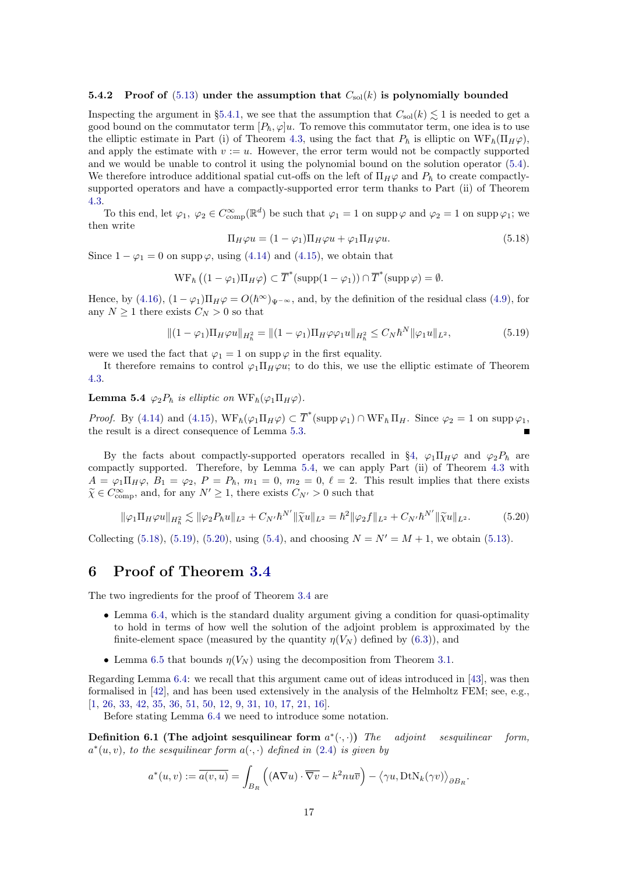#### 5.4.2 Proof of  $(5.13)$  under the assumption that  $C_{sol}(k)$  is polynomially bounded

Inspecting the argument in §[5.4.1,](#page-15-5) we see that the assumption that  $C_{\text{sol}}(k) \lesssim 1$  is needed to get a good bound on the commutator term  $[P_{\hbar}, \varphi]u$ . To remove this commutator term, one idea is to use the elliptic estimate in Part (i) of Theorem [4.3,](#page-12-1) using the fact that  $P_h$  is elliptic on  $WF_h(\Pi_H\varphi)$ , and apply the estimate with  $v := u$ . However, the error term would not be compactly supported and we would be unable to control it using the polynomial bound on the solution operator [\(5.4\)](#page-13-1). We therefore introduce additional spatial cut-offs on the left of  $\Pi_H\varphi$  and  $P_{\hbar}$  to create compactlysupported operators and have a compactly-supported error term thanks to Part (ii) of Theorem [4.3.](#page-12-1)

To this end, let  $\varphi_1, \varphi_2 \in C^{\infty}_{\text{comp}}(\mathbb{R}^d)$  be such that  $\varphi_1 = 1$  on supp  $\varphi$  and  $\varphi_2 = 1$  on supp  $\varphi_1$ ; we then write

<span id="page-16-2"></span>
$$
\Pi_H \varphi u = (1 - \varphi_1) \Pi_H \varphi u + \varphi_1 \Pi_H \varphi u.
$$
\n(5.18)

Since  $1 - \varphi_1 = 0$  on supp  $\varphi$ , using [\(4.14\)](#page-11-5) and [\(4.15\)](#page-11-4), we obtain that

$$
\operatorname{WF}_{\hbar} \left( (1 - \varphi_1) \Pi_H \varphi \right) \subset \overline{T}^* (\operatorname{supp} (1 - \varphi_1)) \cap \overline{T}^* (\operatorname{supp} \varphi) = \emptyset.
$$

Hence, by [\(4.16\)](#page-11-6),  $(1 - \varphi_1)\Pi_H\varphi = O(\hbar^{\infty})_{\Psi^{-\infty}}$ , and, by the definition of the residual class [\(4.9\)](#page-11-7), for any  $N \geq 1$  there exists  $C_N > 0$  so that

<span id="page-16-3"></span>
$$
\|(1 - \varphi_1)\Pi_H\varphi u\|_{H_h^2} = \|(1 - \varphi_1)\Pi_H\varphi\varphi_1 u\|_{H_h^2} \le C_N \hbar^N \|\varphi_1 u\|_{L^2},\tag{5.19}
$$

were we used the fact that  $\varphi_1 = 1$  on supp  $\varphi$  in the first equality.

<span id="page-16-1"></span>It therefore remains to control  $\varphi_1\Pi_H\varphi u$ ; to do this, we use the elliptic estimate of Theorem [4.3.](#page-12-1)

**Lemma 5.4**  $\varphi_2 P_{\hbar}$  is elliptic on  $W F_{\hbar}(\varphi_1 \Pi_H \varphi)$ .

*Proof.* By [\(4.14\)](#page-11-5) and [\(4.15\)](#page-11-4),  $WF_{\hbar}(\varphi_1\Pi_H\varphi) \subset \overline{T}^*(\text{supp }\varphi_1) \cap WF_{\hbar}\Pi_H$ . Since  $\varphi_2 = 1$  on supp  $\varphi_1$ , the result is a direct consequence of Lemma [5.3.](#page-14-3)

By the facts about compactly-supported operators recalled in §[4,](#page-9-0)  $\varphi_1\Pi_H\varphi$  and  $\varphi_2P_{\hbar}$  are compactly supported. Therefore, by Lemma [5.4,](#page-16-1) we can apply Part (ii) of Theorem [4.3](#page-12-1) with  $A = \varphi_1 \Pi_H \varphi, B_1 = \varphi_2, P = P_{\hbar}, m_1 = 0, m_2 = 0, \ell = 2$ . This result implies that there exists  $\widetilde{\chi} \in C_{\text{comp}}^{\infty}$ , and, for any  $N' \geq 1$ , there exists  $C_{N'} > 0$  such that

<span id="page-16-4"></span>
$$
\|\varphi_1\Pi_H\varphi u\|_{H_h^2} \lesssim \|\varphi_2 P_{\hbar} u\|_{L^2} + C_{N'} \hbar^{N'} \|\tilde{\chi} u\|_{L^2} = \hbar^2 \|\varphi_2 f\|_{L^2} + C_{N'} \hbar^{N'} \|\tilde{\chi} u\|_{L^2}.
$$
 (5.20)

Collecting [\(5.18\)](#page-16-2), [\(5.19\)](#page-16-3), [\(5.20\)](#page-16-4), using [\(5.4\)](#page-13-1), and choosing  $N = N' = M + 1$ , we obtain [\(5.13\)](#page-15-0).

### <span id="page-16-0"></span>6 Proof of Theorem [3.4](#page-7-0)

The two ingredients for the proof of Theorem [3.4](#page-7-0) are

- Lemma [6.4,](#page-17-1) which is the standard duality argument giving a condition for quasi-optimality to hold in terms of how well the solution of the adjoint problem is approximated by the finite-element space (measured by the quantity  $\eta(V_N)$  defined by [\(6.3\)](#page-17-3)), and
- Lemma [6.5](#page-17-2) that bounds  $\eta(V_N)$  using the decomposition from Theorem [3.1.](#page-6-1)

Regarding Lemma [6.4:](#page-17-1) we recall that this argument came out of ideas introduced in [\[43\]](#page-20-22), was then formalised in [\[42\]](#page-20-23), and has been used extensively in the analysis of the Helmholtz FEM; see, e.g., [\[1,](#page-19-18) [26,](#page-20-24) [33,](#page-20-25) [42,](#page-20-23) [35,](#page-20-0) [36,](#page-20-1) [51,](#page-20-26) [50,](#page-20-27) [12,](#page-19-19) [9,](#page-19-20) [31,](#page-20-28) [10,](#page-19-4) [17,](#page-19-21) [21,](#page-19-6) [16\]](#page-19-7).

Before stating Lemma [6.4](#page-17-1) we need to introduce some notation.

Definition 6.1 (The adjoint sesquilinear form  $a^*$  $adjoint$  sesquilinear form,  $a^*(u, v)$ , to the sesquilinear form  $a(\cdot, \cdot)$  defined in [\(2.4\)](#page-4-5) is given by

$$
a^*(u,v) := \overline{a(v,u)} = \int_{B_R} \left( (\mathsf{A}\nabla u) \cdot \overline{\nabla v} - k^2 nu\overline{v} \right) - \langle \gamma u, \mathsf{Dt} \mathsf{N}_k(\gamma v) \rangle_{\partial B_R}.
$$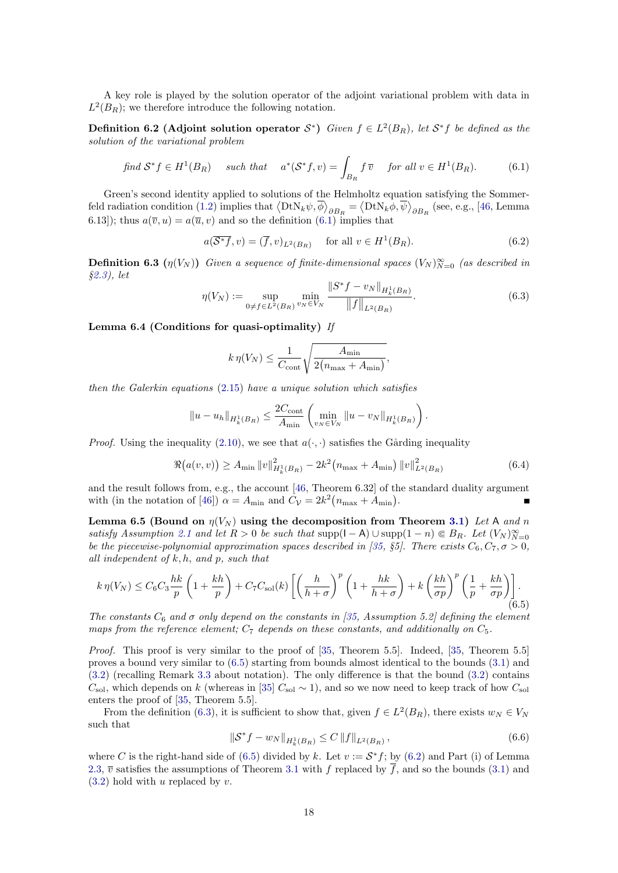A key role is played by the solution operator of the adjoint variational problem with data in  $L^2(B_R)$ ; we therefore introduce the following notation.

**Definition 6.2 (Adjoint solution operator**  $S^*$ ) Given  $f \in L^2(B_R)$ , let  $S^*f$  be defined as the solution of the variational problem

<span id="page-17-4"></span>find 
$$
\mathcal{S}^* f \in H^1(B_R)
$$
 such that  $a^*(\mathcal{S}^* f, v) = \int_{B_R} f \overline{v}$  for all  $v \in H^1(B_R)$ . (6.1)

Green's second identity applied to solutions of the Helmholtz equation satisfying the Sommer-feld radiation condition [\(1.2\)](#page-0-1) implies that  $\langle \text{DtN}_k \psi, \overline{\phi} \rangle_{\partial B_R} = \langle \text{DtN}_k \phi, \overline{\psi} \rangle_{\partial B_R}$  (see, e.g., [\[46,](#page-20-29) Lemma 6.13); thus  $a(\overline{v}, u) = a(\overline{u}, v)$  and so the definition [\(6.1\)](#page-17-4) implies that

<span id="page-17-6"></span>
$$
a(\overline{\mathcal{S}^*f}, v) = (\overline{f}, v)_{L^2(B_R)} \quad \text{for all } v \in H^1(B_R). \tag{6.2}
$$

**Definition 6.3**  $(\eta(V_N))$  Given a sequence of finite-dimensional spaces  $(V_N)_{N=0}^{\infty}$  (as described in §[2.3\)](#page-6-6), let

<span id="page-17-3"></span>
$$
\eta(V_N) := \sup_{0 \neq f \in L^2(B_R)} \min_{v_N \in V_N} \frac{\|S^* f - v_N\|_{H^1_k(B_R)}}{\|f\|_{L^2(B_R)}}.
$$
\n(6.3)

<span id="page-17-1"></span>Lemma 6.4 (Conditions for quasi-optimality) If

$$
k \eta(V_N) \le \frac{1}{C_{\text{cont}}} \sqrt{\frac{A_{\min}}{2(n_{\max} + A_{\min})}},
$$

then the Galerkin equations [\(2.15\)](#page-6-5) have a unique solution which satisfies

$$
||u - u_h||_{H^1_k(B_R)} \leq \frac{2C_{\text{cont}}}{A_{\min}} \left( \min_{v_N \in V_N} ||u - v_N||_{H^1_k(B_R)} \right).
$$

*Proof.* Using the inequality [\(2.10\)](#page-5-5), we see that  $a(\cdot, \cdot)$  satisfies the Gårding inequality

<span id="page-17-0"></span>
$$
\Re(a(v, v)) \ge A_{\min} \|v\|_{H_k^1(B_R)}^2 - 2k^2 (n_{\max} + A_{\min}) \|v\|_{L^2(B_R)}^2
$$
\n(6.4)

and the result follows from, e.g., the account [\[46,](#page-20-29) Theorem 6.32] of the standard duality argument with (in the notation of [\[46\]](#page-20-29))  $\alpha = A_{\text{min}}$  and  $C_{\mathcal{V}} = 2k^2 (n_{\text{max}} + A_{\text{min}})$ .

<span id="page-17-2"></span>Lemma 6.5 (Bound on  $\eta(V_N)$  using the decomposition from Theorem [3.1\)](#page-6-1) Let A and n satisfy Assumption [2.1](#page-4-2) and let  $R > 0$  be such that supp $(1 - A) \cup \text{supp}(1 - n) \in B_R$ . Let  $(V_N)_{N=0}^{\infty}$ be the piecewise-polynomial approximation spaces described in [\[35,](#page-20-0) §5]. There exists  $C_6, C_7, \sigma > 0$ , all independent of  $k, h$ , and  $p$ , such that

<span id="page-17-5"></span>
$$
k \eta(V_N) \leq C_6 C_3 \frac{hk}{p} \left( 1 + \frac{kh}{p} \right) + C_7 C_{\text{sol}}(k) \left[ \left( \frac{h}{h+\sigma} \right)^p \left( 1 + \frac{hk}{h+\sigma} \right) + k \left( \frac{kh}{\sigma p} \right)^p \left( \frac{1}{p} + \frac{kh}{\sigma p} \right) \right].
$$
\n
$$
(6.5)
$$

The constants  $C_6$  and  $\sigma$  only depend on the constants in [\[35,](#page-20-0) Assumption 5.2] defining the element maps from the reference element;  $C_7$  depends on these constants, and additionally on  $C_5$ .

Proof. This proof is very similar to the proof of [\[35,](#page-20-0) Theorem 5.5]. Indeed, [35, Theorem 5.5] proves a bound very similar to [\(6.5\)](#page-17-5) starting from bounds almost identical to the bounds [\(3.1\)](#page-7-1) and [\(3.2\)](#page-7-3) (recalling Remark [3.3](#page-7-6) about notation). The only difference is that the bound [\(3.2\)](#page-7-3) contains  $C_{\rm sol}$ , which depends on k (whereas in [\[35\]](#page-20-0)  $C_{\rm sol} \sim 1$ ), and so we now need to keep track of how  $C_{\rm sol}$ enters the proof of [\[35,](#page-20-0) Theorem 5.5].

From the definition [\(6.3\)](#page-17-3), it is sufficient to show that, given  $f \in L^2(B_R)$ , there exists  $w_N \in V_N$ such that

<span id="page-17-7"></span>
$$
\|\mathcal{S}^* f - w_N\|_{H^1_k(B_R)} \le C \|f\|_{L^2(B_R)},
$$
\n(6.6)

where C is the right-hand side of [\(6.5\)](#page-17-5) divided by k. Let  $v := \mathcal{S}^* f$ ; by [\(6.2\)](#page-17-6) and Part (i) of Lemma [2.3,](#page-4-4)  $\overline{v}$  satisfies the assumptions of Theorem [3.1](#page-6-1) with f replaced by  $\overline{f}$ , and so the bounds [\(3.1\)](#page-7-1) and  $(3.2)$  hold with u replaced by v.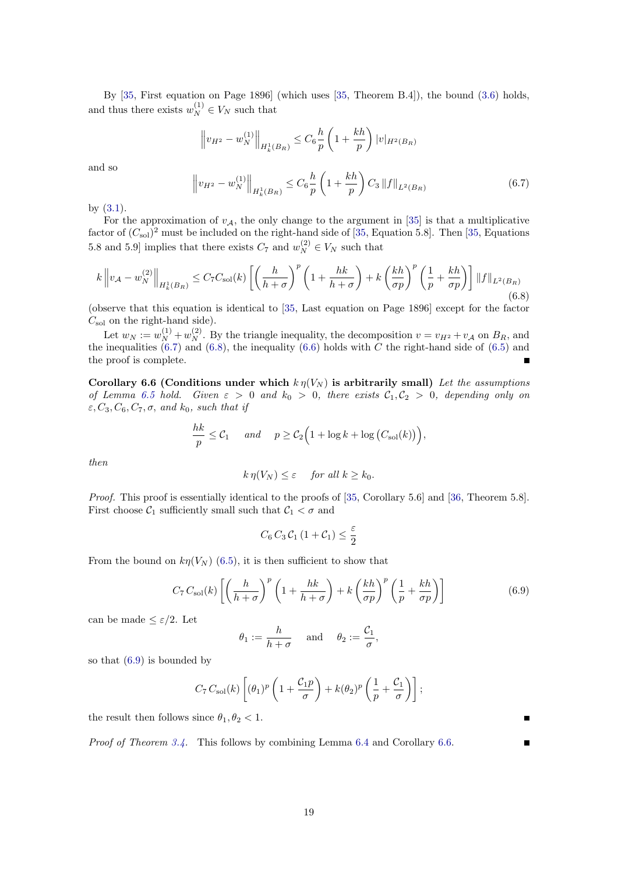By [\[35,](#page-20-0) First equation on Page 1896] (which uses [\[35,](#page-20-0) Theorem B.4]), the bound [\(3.6\)](#page-8-2) holds, and thus there exists  $w_N^{(1)} \in V_N$  such that

$$
\left\|v_{H^2} - w_N^{(1)}\right\|_{H^1_k(B_R)} \le C_6 \frac{h}{p} \left(1 + \frac{kh}{p}\right) |v|_{H^2(B_R)}
$$

and so

<span id="page-18-0"></span>
$$
\left\| v_{H^2} - w_N^{(1)} \right\|_{H^1_k(B_R)} \le C_6 \frac{h}{p} \left( 1 + \frac{kh}{p} \right) C_3 \left\| f \right\|_{L^2(B_R)} \tag{6.7}
$$

by [\(3.1\)](#page-7-1).

For the approximation of  $v_A$ , the only change to the argument in [\[35\]](#page-20-0) is that a multiplicative factor of  $(C_{sol})^2$  must be included on the right-hand side of [\[35,](#page-20-0) Equation 5.8]. Then [35, Equations 5.8 and 5.9] implies that there exists  $C_7$  and  $w_N^{(2)} \in V_N$  such that

<span id="page-18-1"></span>
$$
k \left\| v_A - w_N^{(2)} \right\|_{H_k^1(B_R)} \le C_7 C_{\text{sol}}(k) \left[ \left( \frac{h}{h+\sigma} \right)^p \left( 1 + \frac{hk}{h+\sigma} \right) + k \left( \frac{kh}{\sigma p} \right)^p \left( \frac{1}{p} + \frac{kh}{\sigma p} \right) \right] \|f\|_{L^2(B_R)} \tag{6.8}
$$

(observe that this equation is identical to [\[35,](#page-20-0) Last equation on Page 1896] except for the factor  $C_{\rm sol}$  on the right-hand side).

Let  $w_N := w_N^{(1)} + w_N^{(2)}$ . By the triangle inequality, the decomposition  $v = v_{H^2} + v_{\mathcal{A}}$  on  $B_R$ , and the inequalities  $(6.7)$  and  $(6.8)$ , the inequality  $(6.6)$  holds with C the right-hand side of  $(6.5)$  and the proof is complete.

<span id="page-18-3"></span>Corollary 6.6 (Conditions under which  $k \eta(V_N)$  is arbitrarily small) Let the assumptions of Lemma [6.5](#page-17-2) hold. Given  $\varepsilon > 0$  and  $k_0 > 0$ , there exists  $C_1, C_2 > 0$ , depending only on  $\varepsilon, C_3, C_6, C_7, \sigma, \text{ and } k_0, \text{ such that if}$ 

$$
\frac{hk}{p} \leq C_1 \quad \text{and} \quad p \geq C_2 \Big( 1 + \log k + \log \big( C_{\rm sol}(k) \big) \Big),
$$

then

$$
k \eta(V_N) \leq \varepsilon \quad \text{for all } k \geq k_0.
$$

Proof. This proof is essentially identical to the proofs of [\[35,](#page-20-0) Corollary 5.6] and [\[36,](#page-20-1) Theorem 5.8]. First choose  $C_1$  sufficiently small such that  $C_1 < \sigma$  and

$$
C_6 C_3 C_1 (1 + C_1) \leq \frac{\varepsilon}{2}
$$

From the bound on  $k\eta(V_N)$  [\(6.5\)](#page-17-5), it is then sufficient to show that

<span id="page-18-2"></span>
$$
C_7 C_{sol}(k) \left[ \left( \frac{h}{h+\sigma} \right)^p \left( 1 + \frac{hk}{h+\sigma} \right) + k \left( \frac{kh}{\sigma p} \right)^p \left( \frac{1}{p} + \frac{kh}{\sigma p} \right) \right]
$$
(6.9)

can be made  $\leq \varepsilon/2$ . Let

$$
\theta_1 := \frac{h}{h+\sigma}
$$
 and  $\theta_2 := \frac{\mathcal{C}_1}{\sigma}$ ,

so that [\(6.9\)](#page-18-2) is bounded by

$$
C_7 C_{\rm sol}(k) \left[ (\theta_1)^p \left( 1 + \frac{\mathcal{C}_1 p}{\sigma} \right) + k (\theta_2)^p \left( \frac{1}{p} + \frac{\mathcal{C}_1}{\sigma} \right) \right];
$$

the result then follows since  $\theta_1, \theta_2 < 1$ .

Proof of Theorem [3.4.](#page-7-0) This follows by combining Lemma [6.4](#page-17-1) and Corollary [6.6.](#page-18-3)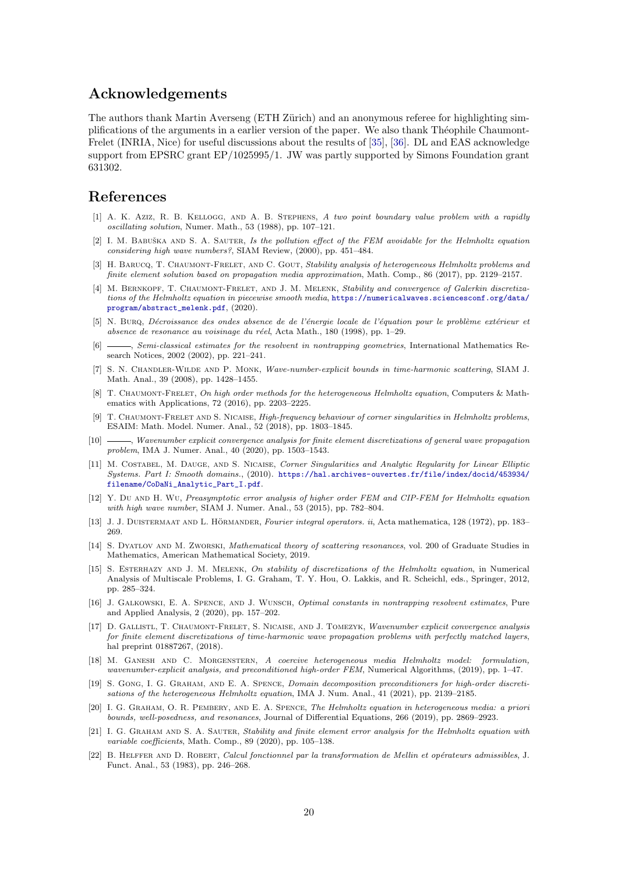### Acknowledgements

The authors thank Martin Averseng (ETH Zürich) and an anonymous referee for highlighting simplifications of the arguments in a earlier version of the paper. We also thank Théophile Chaumont-Frelet (INRIA, Nice) for useful discussions about the results of [\[35\]](#page-20-0), [\[36\]](#page-20-1). DL and EAS acknowledge support from EPSRC grant EP/1025995/1. JW was partly supported by Simons Foundation grant 631302.

### References

- <span id="page-19-18"></span>[1] A. K. Aziz, R. B. Kellogg, and A. B. Stephens, A two point boundary value problem with a rapidly oscillating solution, Numer. Math., 53 (1988), pp. 107–121.
- <span id="page-19-1"></span>[2] I. M. BABUŠKA AND S. A. SAUTER, Is the pollution effect of the FEM avoidable for the Helmholtz equation considering high wave numbers?, SIAM Review, (2000), pp. 451–484.
- <span id="page-19-3"></span>[3] H. BARUCQ, T. CHAUMONT-FRELET, AND C. GOUT, Stability analysis of heterogeneous Helmholtz problems and finite element solution based on propagation media approximation, Math. Comp., 86 (2017), pp. 2129–2157.
- <span id="page-19-11"></span>[4] M. BERNKOPF, T. CHAUMONT-FRELET, AND J. M. MELENK, Stability and convergence of Galerkin discretizations of the Helmholtz equation in piecewise smooth media, [https://numericalwaves.sciencesconf.org/data/](https://numericalwaves.sciencesconf.org/data/program/abstract_melenk.pdf) [program/abstract\\_melenk.pdf](https://numericalwaves.sciencesconf.org/data/program/abstract_melenk.pdf), (2020).
- <span id="page-19-14"></span>[5] N. Burq, Décroissance des ondes absence de de l'énergie locale de l'équation pour le problème extérieur et absence de resonance au voisinage du réel, Acta Math., 180 (1998), pp. 1–29.
- <span id="page-19-16"></span>[6]  $\_\_\_\_\$  Semi-classical estimates for the resolvent in nontrapping geometries, International Mathematics Research Notices, 2002 (2002), pp. 221–241.
- <span id="page-19-13"></span>[7] S. N. Chandler-Wilde and P. Monk, Wave-number-explicit bounds in time-harmonic scattering, SIAM J. Math. Anal., 39 (2008), pp. 1428–1455.
- <span id="page-19-2"></span>[8] T. CHAUMONT-FRELET, On high order methods for the heterogeneous Helmholtz equation, Computers & Mathematics with Applications, 72 (2016), pp. 2203–2225.
- <span id="page-19-20"></span>[9] T. CHAUMONT-FRELET AND S. NICAISE, High-frequency behaviour of corner singularities in Helmholtz problems, ESAIM: Math. Model. Numer. Anal., 52 (2018), pp. 1803–1845.
- <span id="page-19-4"></span>[10] , Wavenumber explicit convergence analysis for finite element discretizations of general wave propagation problem, IMA J. Numer. Anal., 40 (2020), pp. 1503–1543.
- <span id="page-19-17"></span>[11] M. COSTABEL, M. DAUGE, AND S. NICAISE, Corner Singularities and Analytic Regularity for Linear Elliptic Systems. Part I: Smooth domains., (2010). [https://hal.archives-ouvertes.fr/file/index/docid/453934/](https://hal.archives-ouvertes.fr/file/index/docid/453934/filename/CoDaNi_Analytic_Part_I.pdf) [filename/CoDaNi\\_Analytic\\_Part\\_I.pdf](https://hal.archives-ouvertes.fr/file/index/docid/453934/filename/CoDaNi_Analytic_Part_I.pdf).
- <span id="page-19-19"></span>[12] Y. Du AND H. Wu, Preasymptotic error analysis of higher order FEM and CIP-FEM for Helmholtz equation with high wave number, SIAM J. Numer. Anal., 53 (2015), pp. 782–804.
- <span id="page-19-15"></span>[13] J. J. DUISTERMAAT AND L. HÖRMANDER, Fourier integral operators. ii, Acta mathematica, 128 (1972), pp. 183– 269.
- <span id="page-19-9"></span>[14] S. DYATLOV AND M. ZWORSKI, Mathematical theory of scattering resonances, vol. 200 of Graduate Studies in Mathematics, American Mathematical Society, 2019.
- <span id="page-19-0"></span>[15] S. ESTERHAZY AND J. M. MELENK, On stability of discretizations of the Helmholtz equation, in Numerical Analysis of Multiscale Problems, I. G. Graham, T. Y. Hou, O. Lakkis, and R. Scheichl, eds., Springer, 2012, pp. 285–324.
- <span id="page-19-7"></span>[16] J. GALKOWSKI, E. A. SPENCE, AND J. WUNSCH, *Optimal constants in nontrapping resolvent estimates*, Pure and Applied Analysis, 2 (2020), pp. 157–202.
- <span id="page-19-21"></span>[17] D. GALLISTL, T. CHAUMONT-FRELET, S. NICAISE, AND J. TOMEZYK, Wavenumber explicit convergence analysis for finite element discretizations of time-harmonic wave propagation problems with perfectly matched layers, hal preprint 01887267, (2018).
- <span id="page-19-5"></span>[18] M. Ganesh and C. Morgenstern, A coercive heterogeneous media Helmholtz model: formulation, wavenumber-explicit analysis, and preconditioned high-order FEM, Numerical Algorithms, (2019), pp. 1–47.
- <span id="page-19-8"></span>[19] S. Gong, I. G. Graham, and E. A. Spence, Domain decomposition preconditioners for high-order discretisations of the heterogeneous Helmholtz equation, IMA J. Num. Anal., 41 (2021), pp. 2139–2185.
- <span id="page-19-12"></span>[20] I. G. Graham, O. R. Pembery, and E. A. Spence, The Helmholtz equation in heterogeneous media: a priori bounds, well-posedness, and resonances, Journal of Differential Equations, 266 (2019), pp. 2869–2923.
- <span id="page-19-6"></span>[21] I. G. GRAHAM AND S. A. SAUTER, Stability and finite element error analysis for the Helmholtz equation with variable coefficients, Math. Comp., 89 (2020), pp. 105–138.
- <span id="page-19-10"></span>[22] B. HELFFER AND D. ROBERT, Calcul fonctionnel par la transformation de Mellin et opérateurs admissibles, J. Funct. Anal., 53 (1983), pp. 246–268.